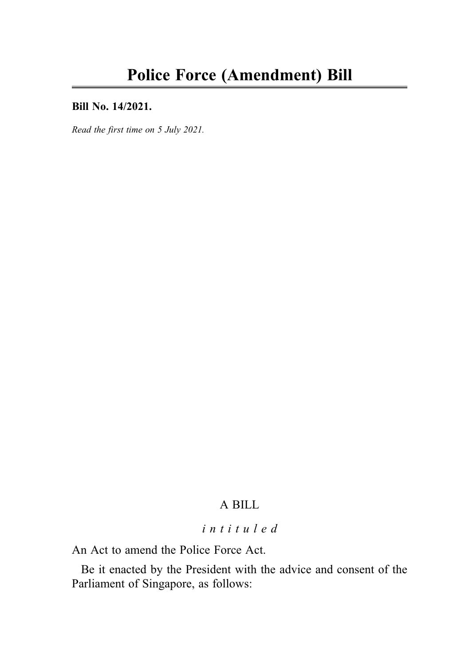### Bill No. 14/2021.

Read the first time on 5 July 2021.

# A BILL

# intituled

An Act to amend the Police Force Act.

Be it enacted by the President with the advice and consent of the Parliament of Singapore, as follows: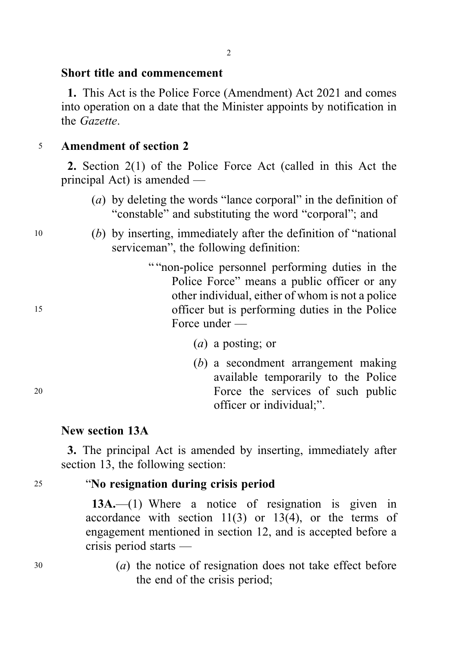### Short title and commencement

1. This Act is the Police Force (Amendment) Act 2021 and comes into operation on a date that the Minister appoints by notification in the Gazette.

### <sup>5</sup> Amendment of section 2

2. Section 2(1) of the Police Force Act (called in this Act the principal Act) is amended —

- (a) by deleting the words "lance corporal" in the definition of "constable" and substituting the word "corporal"; and
- <sup>10</sup> (b) by inserting, immediately after the definition of "national serviceman", the following definition:
- " "non-police personnel performing duties in the Police Force" means a public officer or any other individual, either of whom is not a police <sup>15</sup> officer but is performing duties in the Police Force under —
	- (a) a posting; or
- (b) a secondment arrangement making available temporarily to the Police <sup>20</sup> Force the services of such public officer or individual;".

### New section 13A

3. The principal Act is amended by inserting, immediately after section 13, the following section:

# <sup>25</sup> "No resignation during crisis period

13A.—(1) Where a notice of resignation is given in accordance with section 11(3) or 13(4), or the terms of engagement mentioned in section 12, and is accepted before a crisis period starts —

<sup>30</sup> (a) the notice of resignation does not take effect before the end of the crisis period;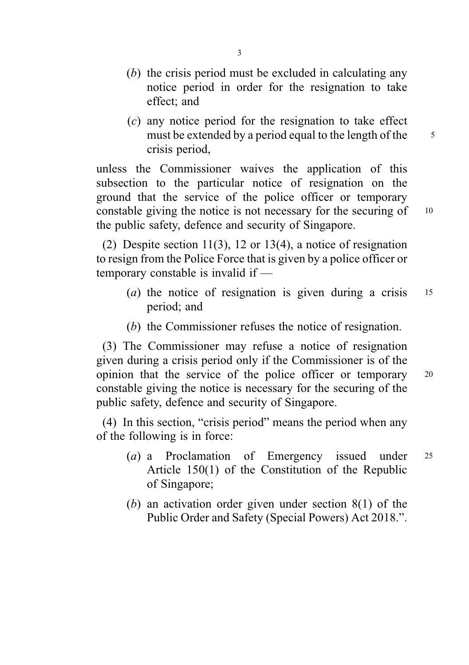- (b) the crisis period must be excluded in calculating any notice period in order for the resignation to take effect; and
- (c) any notice period for the resignation to take effect must be extended by a period equal to the length of the  $\frac{5}{5}$ crisis period,

unless the Commissioner waives the application of this subsection to the particular notice of resignation on the ground that the service of the police officer or temporary constable giving the notice is not necessary for the securing of 10 the public safety, defence and security of Singapore.

(2) Despite section 11(3), 12 or 13(4), a notice of resignation to resign from the Police Force that is given by a police officer or temporary constable is invalid if —

- (*a*) the notice of resignation is given during a crisis  $15$ period; and
- (b) the Commissioner refuses the notice of resignation.

(3) The Commissioner may refuse a notice of resignation given during a crisis period only if the Commissioner is of the opinion that the service of the police officer or temporary <sup>20</sup> constable giving the notice is necessary for the securing of the public safety, defence and security of Singapore.

(4) In this section, "crisis period" means the period when any of the following is in force:

- (a) a Proclamation of Emergency issued under <sup>25</sup> Article 150(1) of the Constitution of the Republic of Singapore;
- (b) an activation order given under section  $8(1)$  of the Public Order and Safety (Special Powers) Act 2018.".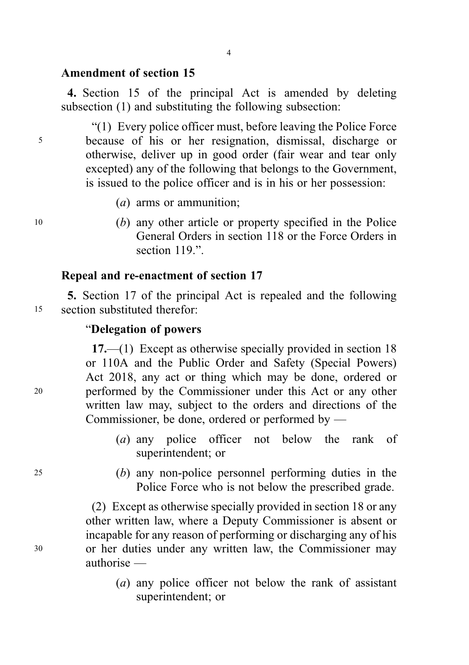### Amendment of section 15

4. Section 15 of the principal Act is amended by deleting subsection (1) and substituting the following subsection:

"(1) Every police officer must, before leaving the Police Force <sup>5</sup> because of his or her resignation, dismissal, discharge or otherwise, deliver up in good order (fair wear and tear only excepted) any of the following that belongs to the Government, is issued to the police officer and is in his or her possession:

- (a) arms or ammunition;
- <sup>10</sup> (b) any other article or property specified in the Police General Orders in section 118 or the Force Orders in section 119."

### Repeal and re-enactment of section 17

5. Section 17 of the principal Act is repealed and the following <sup>15</sup> section substituted therefor:

### "Delegation of powers

17.—(1) Except as otherwise specially provided in section 18 or 110A and the Public Order and Safety (Special Powers) Act 2018, any act or thing which may be done, ordered or <sup>20</sup> performed by the Commissioner under this Act or any other written law may, subject to the orders and directions of the Commissioner, be done, ordered or performed by —

- (a) any police officer not below the rank of superintendent; or
- <sup>25</sup> (b) any non-police personnel performing duties in the Police Force who is not below the prescribed grade.

(2) Except as otherwise specially provided in section 18 or any other written law, where a Deputy Commissioner is absent or incapable for any reason of performing or discharging any of his <sup>30</sup> or her duties under any written law, the Commissioner may authorise —

> (a) any police officer not below the rank of assistant superintendent; or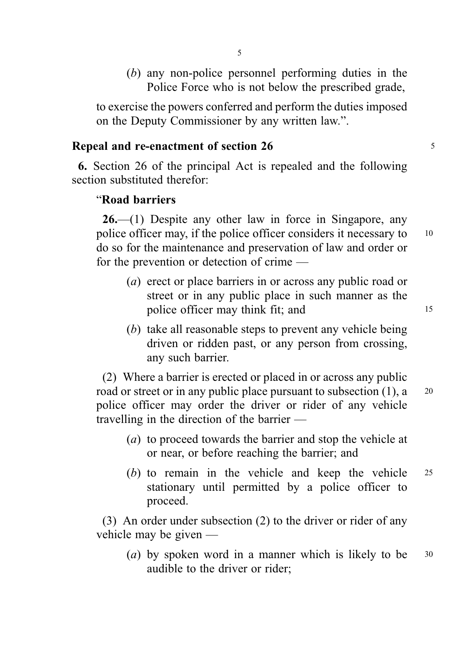(b) any non-police personnel performing duties in the Police Force who is not below the prescribed grade,

to exercise the powers conferred and perform the duties imposed on the Deputy Commissioner by any written law.".

### Repeal and re-enactment of section 26 5

6. Section 26 of the principal Act is repealed and the following section substituted therefor:

### "Road barriers

 $26$ —(1) Despite any other law in force in Singapore, any police officer may, if the police officer considers it necessary to 10 do so for the maintenance and preservation of law and order or for the prevention or detection of crime —

- (a) erect or place barriers in or across any public road or street or in any public place in such manner as the police officer may think fit; and 15
- (b) take all reasonable steps to prevent any vehicle being driven or ridden past, or any person from crossing, any such barrier.

(2) Where a barrier is erected or placed in or across any public road or street or in any public place pursuant to subsection  $(1)$ , a  $20$ police officer may order the driver or rider of any vehicle travelling in the direction of the barrier —

- (a) to proceed towards the barrier and stop the vehicle at or near, or before reaching the barrier; and
- (b) to remain in the vehicle and keep the vehicle <sup>25</sup> stationary until permitted by a police officer to proceed.

(3) An order under subsection (2) to the driver or rider of any vehicle may be given —

(a) by spoken word in a manner which is likely to be  $30$ audible to the driver or rider;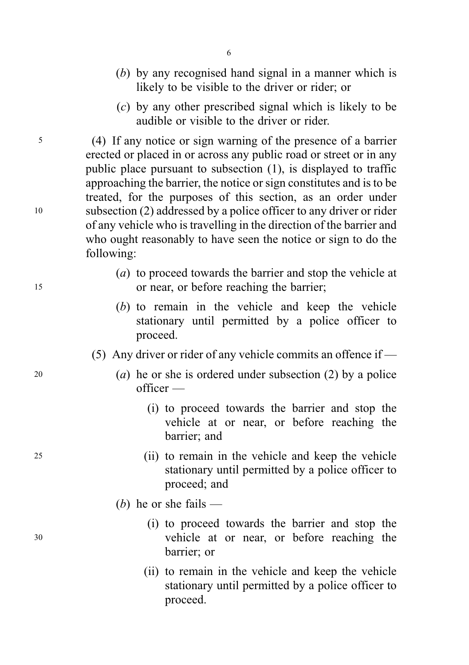- (b) by any recognised hand signal in a manner which is likely to be visible to the driver or rider; or
- (c) by any other prescribed signal which is likely to be audible or visible to the driver or rider.

<sup>5</sup> (4) If any notice or sign warning of the presence of a barrier erected or placed in or across any public road or street or in any public place pursuant to subsection (1), is displayed to traffic approaching the barrier, the notice or sign constitutes and is to be treated, for the purposes of this section, as an order under <sup>10</sup> subsection (2) addressed by a police officer to any driver or rider of any vehicle who is travelling in the direction of the barrier and who ought reasonably to have seen the notice or sign to do the following:

- (a) to proceed towards the barrier and stop the vehicle at <sup>15</sup> or near, or before reaching the barrier;
	- (b) to remain in the vehicle and keep the vehicle stationary until permitted by a police officer to proceed.
	- (5) Any driver or rider of any vehicle commits an offence if  $-$
- 20 (a) he or she is ordered under subsection (2) by a police officer —
	- (i) to proceed towards the barrier and stop the vehicle at or near, or before reaching the barrier; and
- <sup>25</sup> (ii) to remain in the vehicle and keep the vehicle stationary until permitted by a police officer to proceed; and
	- (*b*) he or she fails —
- (i) to proceed towards the barrier and stop the <sup>30</sup> vehicle at or near, or before reaching the barrier; or
	- (ii) to remain in the vehicle and keep the vehicle stationary until permitted by a police officer to proceed.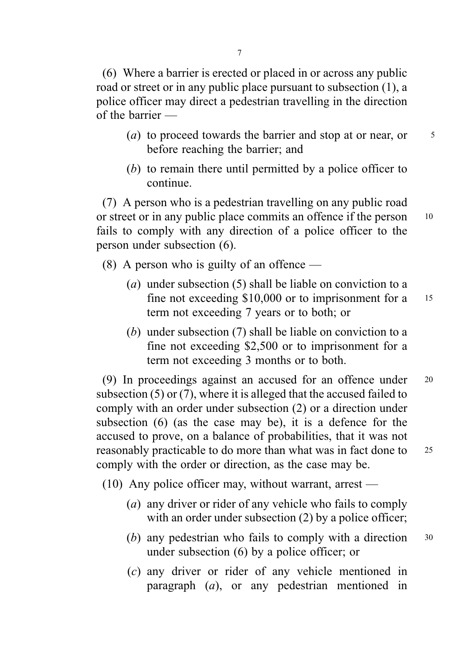(6) Where a barrier is erected or placed in or across any public road or street or in any public place pursuant to subsection (1), a police officer may direct a pedestrian travelling in the direction of the barrier —

- (a) to proceed towards the barrier and stop at or near, or  $\frac{5}{5}$ before reaching the barrier; and
- (b) to remain there until permitted by a police officer to continue.

(7) A person who is a pedestrian travelling on any public road or street or in any public place commits an offence if the person 10 fails to comply with any direction of a police officer to the person under subsection (6).

(8) A person who is guilty of an offence —

- (a) under subsection (5) shall be liable on conviction to a fine not exceeding \$10,000 or to imprisonment for a 15 term not exceeding 7 years or to both; or
- (b) under subsection (7) shall be liable on conviction to a fine not exceeding \$2,500 or to imprisonment for a term not exceeding 3 months or to both.

(9) In proceedings against an accused for an offence under <sup>20</sup> subsection (5) or (7), where it is alleged that the accused failed to comply with an order under subsection (2) or a direction under subsection (6) (as the case may be), it is a defence for the accused to prove, on a balance of probabilities, that it was not reasonably practicable to do more than what was in fact done to <sup>25</sup> comply with the order or direction, as the case may be.

(10) Any police officer may, without warrant, arrest —

- (a) any driver or rider of any vehicle who fails to comply with an order under subsection (2) by a police officer;
- (b) any pedestrian who fails to comply with a direction  $30$ under subsection (6) by a police officer; or
- (c) any driver or rider of any vehicle mentioned in paragraph (a), or any pedestrian mentioned in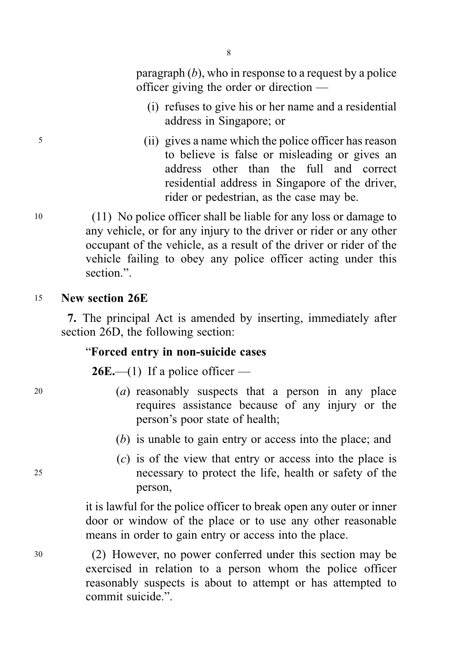8

paragraph  $(b)$ , who in response to a request by a police officer giving the order or direction —

- (i) refuses to give his or her name and a residential address in Singapore; or
- <sup>5</sup> (ii) gives a name which the police officer has reason to believe is false or misleading or gives an address other than the full and correct residential address in Singapore of the driver, rider or pedestrian, as the case may be.

<sup>10</sup> (11) No police officer shall be liable for any loss or damage to any vehicle, or for any injury to the driver or rider or any other occupant of the vehicle, as a result of the driver or rider of the vehicle failing to obey any police officer acting under this section.".

<sup>15</sup> New section 26E

7. The principal Act is amended by inserting, immediately after section 26D, the following section:

# "Forced entry in non-suicide cases

**26E.**—(1) If a police officer —

- <sup>20</sup> (a) reasonably suspects that a person in any place requires assistance because of any injury or the person's poor state of health;
	- (b) is unable to gain entry or access into the place; and
- (c) is of the view that entry or access into the place is <sup>25</sup> necessary to protect the life, health or safety of the person,

it is lawful for the police officer to break open any outer or inner door or window of the place or to use any other reasonable means in order to gain entry or access into the place.

<sup>30</sup> (2) However, no power conferred under this section may be exercised in relation to a person whom the police officer reasonably suspects is about to attempt or has attempted to commit suicide.".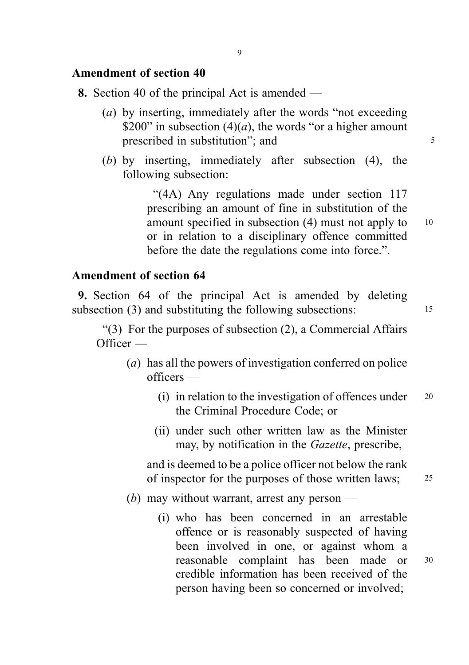# Amendment of section 40

- 8. Section 40 of the principal Act is amended
	- (a) by inserting, immediately after the words "not exceeding \$200" in subsection (4)(*a*), the words "or a higher amount prescribed in substitution"; and  $\frac{5}{5}$
	- (b) by inserting, immediately after subsection (4), the following subsection:

"(4A) Any regulations made under section 117 prescribing an amount of fine in substitution of the amount specified in subsection  $(4)$  must not apply to  $10$ or in relation to a disciplinary offence committed before the date the regulations come into force.".

# Amendment of section 64

9. Section 64 of the principal Act is amended by deleting subsection (3) and substituting the following subsections: 15

"(3) For the purposes of subsection (2), a Commercial Affairs Officer —

- (a) has all the powers of investigation conferred on police officers —
	- (i) in relation to the investigation of offences under  $20$ the Criminal Procedure Code; or
	- (ii) under such other written law as the Minister may, by notification in the *Gazette*, prescribe,

and is deemed to be a police officer not below the rank of inspector for the purposes of those written laws: 25

- (b) may without warrant, arrest any person
	- (i) who has been concerned in an arrestable offence or is reasonably suspected of having been involved in one, or against whom a reasonable complaint has been made or <sup>30</sup> credible information has been received of the person having been so concerned or involved;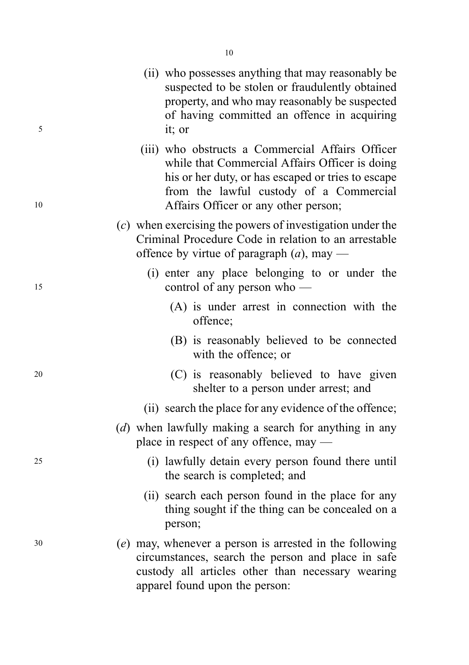| 5  | suspected to be stolen or fraudulently obtained<br>property, and who may reasonably be suspected<br>of having committed an offence in acquiring<br>it; or                                                                                   |
|----|---------------------------------------------------------------------------------------------------------------------------------------------------------------------------------------------------------------------------------------------|
| 10 | (iii) who obstructs a Commercial Affairs Officer<br>while that Commercial Affairs Officer is doing<br>his or her duty, or has escaped or tries to escape<br>from the lawful custody of a Commercial<br>Affairs Officer or any other person; |
|    | $(c)$ when exercising the powers of investigation under the<br>Criminal Procedure Code in relation to an arrestable<br>offence by virtue of paragraph $(a)$ , may —                                                                         |
| 15 | (i) enter any place belonging to or under the<br>control of any person who $-$                                                                                                                                                              |
|    | (A) is under arrest in connection with the<br>offence;                                                                                                                                                                                      |
|    | (B) is reasonably believed to be connected<br>with the offence; or                                                                                                                                                                          |
| 20 | (C) is reasonably believed to have given<br>shelter to a person under arrest; and                                                                                                                                                           |
|    | (ii) search the place for any evidence of the offence;                                                                                                                                                                                      |
|    | (d) when lawfully making a search for anything in any<br>place in respect of any offence, may $-$                                                                                                                                           |
| 25 | (i) lawfully detain every person found there until<br>the search is completed; and                                                                                                                                                          |
|    | (ii) search each person found in the place for any<br>thing sought if the thing can be concealed on a<br>person;                                                                                                                            |
| 30 | (e) may, whenever a person is arrested in the following<br>circumstances, search the person and place in safe<br>custody all articles other than necessary wearing<br>apparel found upon the person:                                        |

(ii) who possesses anything that may reasonably be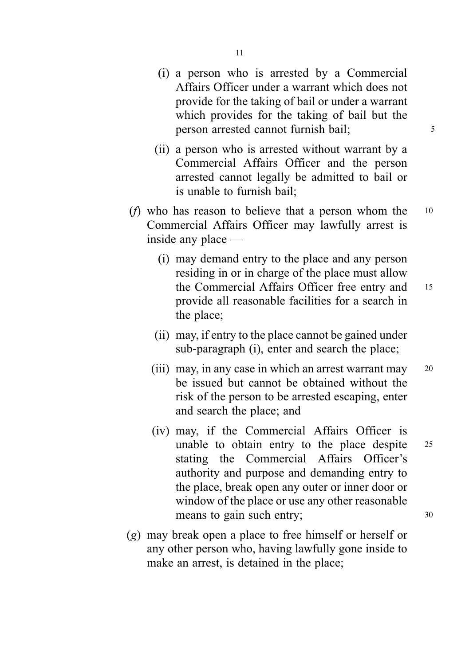- (i) a person who is arrested by a Commercial Affairs Officer under a warrant which does not provide for the taking of bail or under a warrant which provides for the taking of bail but the person arrested cannot furnish bail;  $\frac{5}{5}$
- (ii) a person who is arrested without warrant by a Commercial Affairs Officer and the person arrested cannot legally be admitted to bail or is unable to furnish bail;
- (*f*) who has reason to believe that a person whom the  $10$ Commercial Affairs Officer may lawfully arrest is inside any place —
	- (i) may demand entry to the place and any person residing in or in charge of the place must allow the Commercial Affairs Officer free entry and 15 provide all reasonable facilities for a search in the place;
	- (ii) may, if entry to the place cannot be gained under sub-paragraph (i), enter and search the place;
	- (iii) may, in any case in which an arrest warrant may 20 be issued but cannot be obtained without the risk of the person to be arrested escaping, enter and search the place; and
	- (iv) may, if the Commercial Affairs Officer is unable to obtain entry to the place despite 25 stating the Commercial Affairs Officer's authority and purpose and demanding entry to the place, break open any outer or inner door or window of the place or use any other reasonable means to gain such entry;  $30$
- (g) may break open a place to free himself or herself or any other person who, having lawfully gone inside to make an arrest, is detained in the place;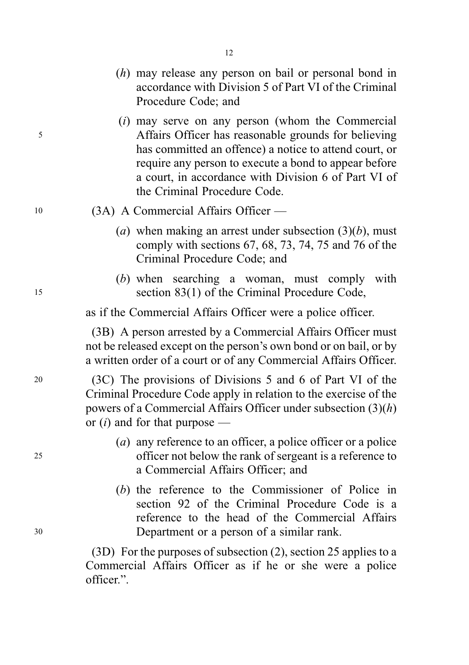- (h) may release any person on bail or personal bond in accordance with Division 5 of Part VI of the Criminal Procedure Code; and
- (i) may serve on any person (whom the Commercial <sup>5</sup> Affairs Officer has reasonable grounds for believing has committed an offence) a notice to attend court, or require any person to execute a bond to appear before a court, in accordance with Division 6 of Part VI of the Criminal Procedure Code.
- <sup>10</sup> (3A) A Commercial Affairs Officer
	- (a) when making an arrest under subsection  $(3)(b)$ , must comply with sections 67, 68, 73, 74, 75 and 76 of the Criminal Procedure Code; and
- (b) when searching a woman, must comply with <sup>15</sup> section 83(1) of the Criminal Procedure Code,

as if the Commercial Affairs Officer were a police officer.

(3B) A person arrested by a Commercial Affairs Officer must not be released except on the person's own bond or on bail, or by a written order of a court or of any Commercial Affairs Officer.

<sup>20</sup> (3C) The provisions of Divisions 5 and 6 of Part VI of the Criminal Procedure Code apply in relation to the exercise of the powers of a Commercial Affairs Officer under subsection  $(3)(h)$ or  $(i)$  and for that purpose —

- (a) any reference to an officer, a police officer or a police <sup>25</sup> officer not below the rank of sergeant is a reference to a Commercial Affairs Officer; and
- (b) the reference to the Commissioner of Police in section 92 of the Criminal Procedure Code is a reference to the head of the Commercial Affairs <sup>30</sup> Department or a person of a similar rank.

(3D) For the purposes of subsection (2), section 25 applies to a Commercial Affairs Officer as if he or she were a police officer.".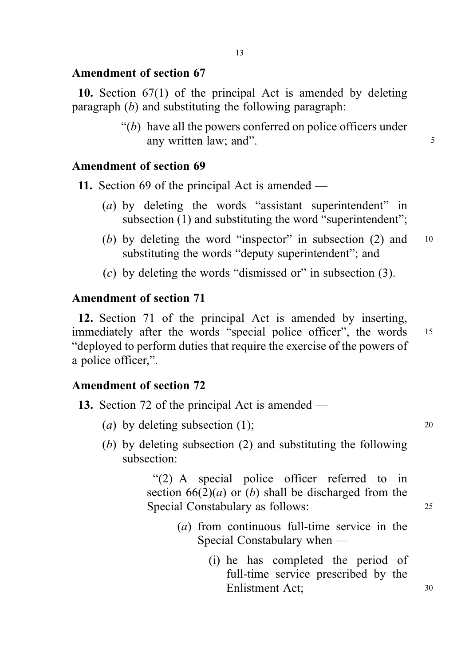### Amendment of section 67

10. Section 67(1) of the principal Act is amended by deleting paragraph  $(b)$  and substituting the following paragraph:

> $\lq\lq(b)$  have all the powers conferred on police officers under any written law; and". 5

### Amendment of section 69

11. Section 69 of the principal Act is amended —

- (a) by deleting the words "assistant superintendent" in subsection (1) and substituting the word "superintendent";
- (b) by deleting the word "inspector" in subsection  $(2)$  and  $10$ substituting the words "deputy superintendent"; and
- $(c)$  by deleting the words "dismissed or" in subsection (3).

### Amendment of section 71

12. Section 71 of the principal Act is amended by inserting, immediately after the words "special police officer", the words 15 "deployed to perform duties that require the exercise of the powers of a police officer,".

# Amendment of section 72

|  |  |  |  |  |  |  |  | <b>13.</b> Section 72 of the principal Act is amended — |  |
|--|--|--|--|--|--|--|--|---------------------------------------------------------|--|
|--|--|--|--|--|--|--|--|---------------------------------------------------------|--|

- (a) by deleting subsection  $(1)$ ; 20
- (b) by deleting subsection (2) and substituting the following subsection:

"(2) A special police officer referred to in section  $66(2)(a)$  or (b) shall be discharged from the Special Constabulary as follows: 25

- (a) from continuous full-time service in the Special Constabulary when —
	- (i) he has completed the period of full-time service prescribed by the Enlistment Act; <sup>30</sup>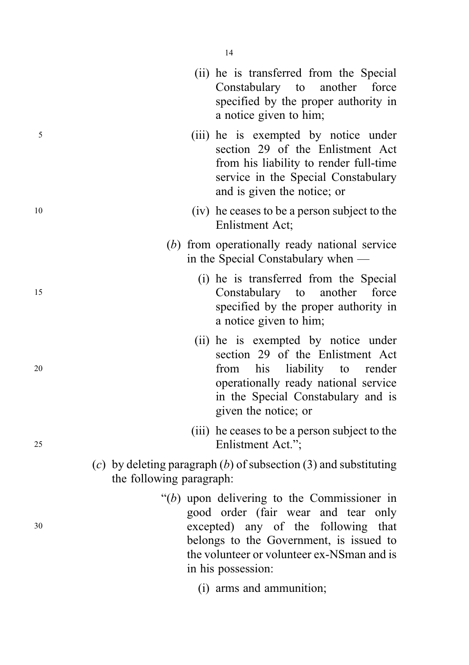|    |                          | (ii) he is transferred from the Special<br>Constabulary to another force<br>specified by the proper authority in<br>a notice given to him;                                                                                                  |
|----|--------------------------|---------------------------------------------------------------------------------------------------------------------------------------------------------------------------------------------------------------------------------------------|
| 5  |                          | (iii) he is exempted by notice under<br>section 29 of the Enlistment Act<br>from his liability to render full-time<br>service in the Special Constabulary<br>and is given the notice; or                                                    |
| 10 |                          | (iv) he ceases to be a person subject to the<br>Enlistment Act;                                                                                                                                                                             |
|    |                          | (b) from operationally ready national service<br>in the Special Constabulary when —                                                                                                                                                         |
| 15 |                          | (i) he is transferred from the Special<br>Constabulary to<br>another<br>force<br>specified by the proper authority in<br>a notice given to him;                                                                                             |
| 20 |                          | (ii) he is exempted by notice under<br>section 29 of the Enlistment Act<br>his liability to render<br>from<br>operationally ready national service<br>in the Special Constabulary and is<br>given the notice; or                            |
| 25 |                          | (iii) he ceases to be a person subject to the<br>Enlistment Act.";                                                                                                                                                                          |
|    | the following paragraph: | (c) by deleting paragraph (b) of subsection (3) and substituting                                                                                                                                                                            |
| 30 |                          | " $(b)$ upon delivering to the Commissioner in<br>good order (fair wear and tear only<br>excepted) any of the following that<br>belongs to the Government, is issued to<br>the volunteer or volunteer ex-NSman and is<br>in his possession: |
|    |                          | (i) arms and ammunition;                                                                                                                                                                                                                    |

14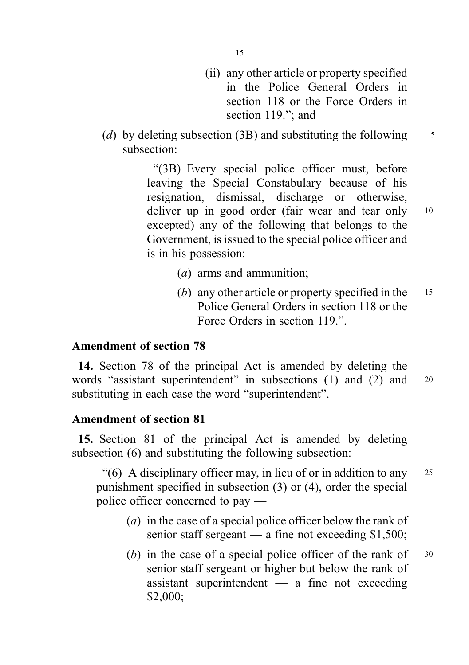- (ii) any other article or property specified in the Police General Orders in section 118 or the Force Orders in section 119."; and
- (d) by deleting subsection (3B) and substituting the following  $\frac{5}{5}$ subsection:

"(3B) Every special police officer must, before leaving the Special Constabulary because of his resignation, dismissal, discharge or otherwise, deliver up in good order (fair wear and tear only 10 excepted) any of the following that belongs to the Government, is issued to the special police officer and is in his possession:

- (a) arms and ammunition;
- (b) any other article or property specified in the  $15$ Police General Orders in section 118 or the Force Orders in section 119".

### Amendment of section 78

14. Section 78 of the principal Act is amended by deleting the words "assistant superintendent" in subsections (1) and (2) and 20 substituting in each case the word "superintendent".

### Amendment of section 81

15. Section 81 of the principal Act is amended by deleting subsection (6) and substituting the following subsection:

"(6) A disciplinary officer may, in lieu of or in addition to any  $25$ punishment specified in subsection (3) or (4), order the special police officer concerned to pay —

- (a) in the case of a special police officer below the rank of senior staff sergeant — a fine not exceeding  $$1,500$ ;
- (b) in the case of a special police officer of the rank of  $30$ senior staff sergeant or higher but below the rank of assistant superintendent — a fine not exceeding \$2,000;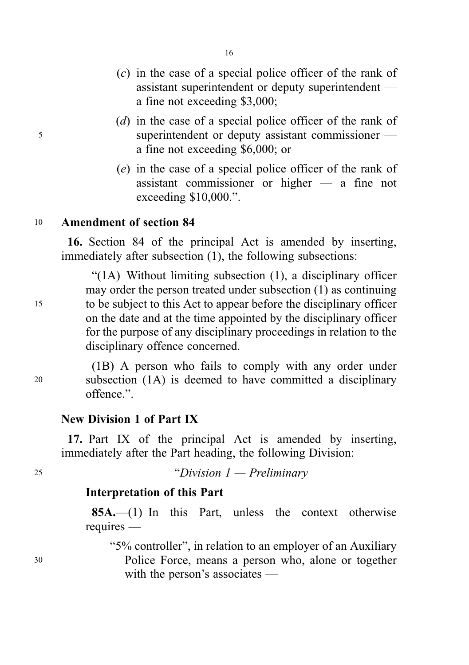- (c) in the case of a special police officer of the rank of assistant superintendent or deputy superintendent a fine not exceeding \$3,000;
- (d) in the case of a special police officer of the rank of <sup>5</sup> superintendent or deputy assistant commissioner a fine not exceeding \$6,000; or
	- (e) in the case of a special police officer of the rank of assistant commissioner or higher — a fine not exceeding \$10,000.".

# <sup>10</sup> Amendment of section 84

16. Section 84 of the principal Act is amended by inserting, immediately after subsection (1), the following subsections:

"(1A) Without limiting subsection (1), a disciplinary officer may order the person treated under subsection (1) as continuing <sup>15</sup> to be subject to this Act to appear before the disciplinary officer on the date and at the time appointed by the disciplinary officer for the purpose of any disciplinary proceedings in relation to the disciplinary offence concerned.

(1B) A person who fails to comply with any order under <sup>20</sup> subsection (1A) is deemed to have committed a disciplinary offence.".

### New Division 1 of Part IX

17. Part IX of the principal Act is amended by inserting, immediately after the Part heading, the following Division:

<sup>25</sup> "Division 1 — Preliminary

### Interpretation of this Part

 $85A$ .  $-$ (1) In this Part, unless the context otherwise requires —

"5% controller", in relation to an employer of an Auxiliary

<sup>30</sup> Police Force, means a person who, alone or together with the person's associates —

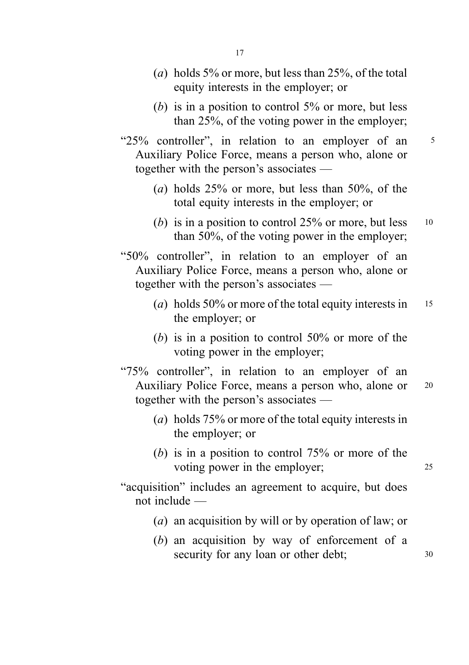- (a) holds 5% or more, but less than  $25%$ , of the total equity interests in the employer; or
- (b) is in a position to control  $5\%$  or more, but less than 25%, of the voting power in the employer;
- "25% controller", in relation to an employer of an <sup>5</sup> Auxiliary Police Force, means a person who, alone or together with the person's associates —
	- (*a*) holds  $25\%$  or more, but less than  $50\%$ , of the total equity interests in the employer; or
	- (b) is in a position to control  $25\%$  or more, but less  $10$ than 50%, of the voting power in the employer;
- "50% controller", in relation to an employer of an Auxiliary Police Force, means a person who, alone or together with the person's associates —
	- (a) holds  $50\%$  or more of the total equity interests in 15 the employer; or
	- (b) is in a position to control  $50\%$  or more of the voting power in the employer;
- "75% controller", in relation to an employer of an Auxiliary Police Force, means a person who, alone or <sup>20</sup> together with the person's associates —
	- (a) holds 75% or more of the total equity interests in the employer; or
	- (b) is in a position to control 75% or more of the voting power in the employer; 25
- "acquisition" includes an agreement to acquire, but does not include —
	- (a) an acquisition by will or by operation of law; or
	- (b) an acquisition by way of enforcement of a security for any loan or other debt; 30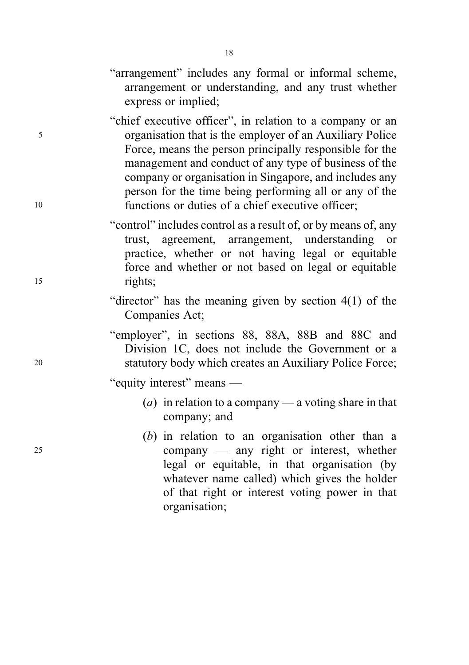- "arrangement" includes any formal or informal scheme, arrangement or understanding, and any trust whether express or implied;
- "chief executive officer", in relation to a company or an <sup>5</sup> organisation that is the employer of an Auxiliary Police Force, means the person principally responsible for the management and conduct of any type of business of the company or organisation in Singapore, and includes any person for the time being performing all or any of the <sup>10</sup> functions or duties of a chief executive officer;
- "control" includes control as a result of, or by means of, any trust, agreement, arrangement, understanding or practice, whether or not having legal or equitable force and whether or not based on legal or equitable <sup>15</sup> rights;
	- "director" has the meaning given by section 4(1) of the Companies Act;
- "employer", in sections 88, 88A, 88B and 88C and Division 1C, does not include the Government or a <sup>20</sup> statutory body which creates an Auxiliary Police Force;
	- "equity interest" means
		- (a) in relation to a company a voting share in that company; and
- (b) in relation to an organisation other than a <sup>25</sup> company — any right or interest, whether legal or equitable, in that organisation (by whatever name called) which gives the holder of that right or interest voting power in that organisation;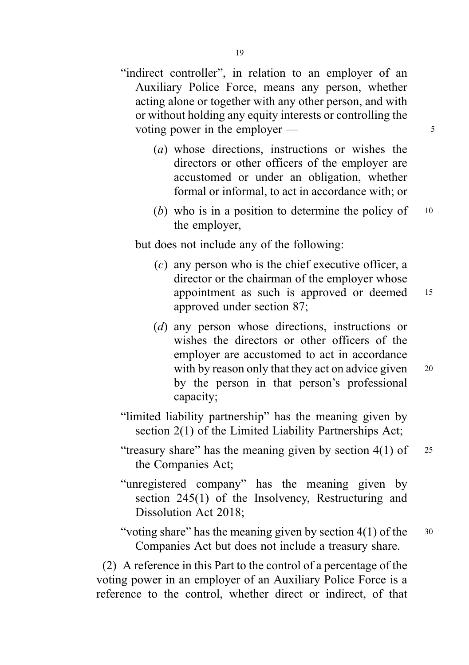- "indirect controller", in relation to an employer of an Auxiliary Police Force, means any person, whether acting alone or together with any other person, and with or without holding any equity interests or controlling the voting power in the employer —  $\frac{5}{5}$ 
	- (a) whose directions, instructions or wishes the directors or other officers of the employer are accustomed or under an obligation, whether formal or informal, to act in accordance with; or
	- (b) who is in a position to determine the policy of  $10$ the employer,

but does not include any of the following:

- (c) any person who is the chief executive officer, a director or the chairman of the employer whose appointment as such is approved or deemed <sup>15</sup> approved under section 87;
- (d) any person whose directions, instructions or wishes the directors or other officers of the employer are accustomed to act in accordance with by reason only that they act on advice given 20 by the person in that person's professional capacity;
- "limited liability partnership" has the meaning given by section 2(1) of the Limited Liability Partnerships Act;
- "treasury share" has the meaning given by section  $4(1)$  of  $25$ the Companies Act;
- "unregistered company" has the meaning given by section 245(1) of the Insolvency, Restructuring and Dissolution Act 2018;
- "voting share" has the meaning given by section  $4(1)$  of the  $30$ Companies Act but does not include a treasury share.

(2) A reference in this Part to the control of a percentage of the voting power in an employer of an Auxiliary Police Force is a reference to the control, whether direct or indirect, of that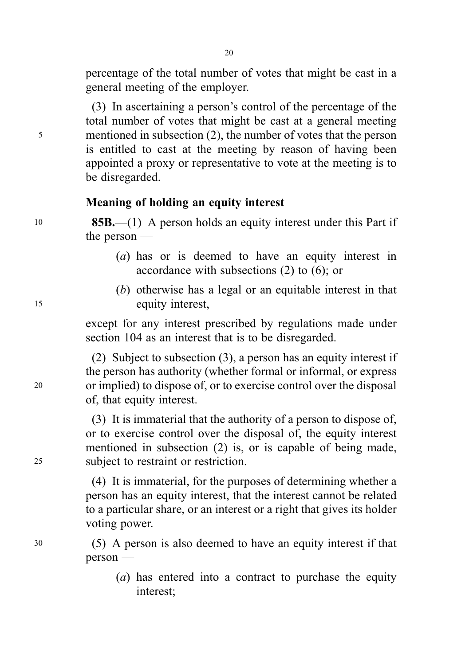percentage of the total number of votes that might be cast in a general meeting of the employer.

(3) In ascertaining a person's control of the percentage of the total number of votes that might be cast at a general meeting <sup>5</sup> mentioned in subsection (2), the number of votes that the person is entitled to cast at the meeting by reason of having been appointed a proxy or representative to vote at the meeting is to be disregarded.

# Meaning of holding an equity interest

<sup>10</sup> 85B.—(1) A person holds an equity interest under this Part if the person —

- (a) has or is deemed to have an equity interest in accordance with subsections (2) to (6); or
- (b) otherwise has a legal or an equitable interest in that <sup>15</sup> equity interest,

except for any interest prescribed by regulations made under section 104 as an interest that is to be disregarded.

(2) Subject to subsection (3), a person has an equity interest if the person has authority (whether formal or informal, or express <sup>20</sup> or implied) to dispose of, or to exercise control over the disposal of, that equity interest.

(3) It is immaterial that the authority of a person to dispose of, or to exercise control over the disposal of, the equity interest mentioned in subsection (2) is, or is capable of being made, <sup>25</sup> subject to restraint or restriction.

> (4) It is immaterial, for the purposes of determining whether a person has an equity interest, that the interest cannot be related to a particular share, or an interest or a right that gives its holder voting power.

<sup>30</sup> (5) A person is also deemed to have an equity interest if that person —

> (a) has entered into a contract to purchase the equity interest;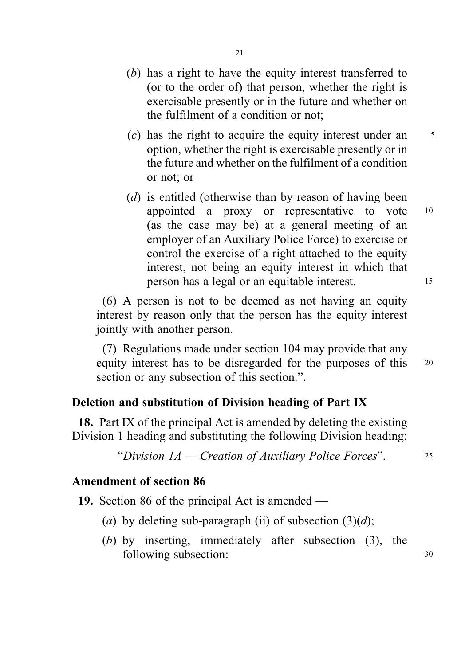- (b) has a right to have the equity interest transferred to (or to the order of) that person, whether the right is exercisable presently or in the future and whether on the fulfilment of a condition or not;
- $(c)$  has the right to acquire the equity interest under an  $5$ option, whether the right is exercisable presently or in the future and whether on the fulfilment of a condition or not; or
- (d) is entitled (otherwise than by reason of having been appointed a proxy or representative to vote <sup>10</sup> (as the case may be) at a general meeting of an employer of an Auxiliary Police Force) to exercise or control the exercise of a right attached to the equity interest, not being an equity interest in which that person has a legal or an equitable interest. <sup>15</sup>

(6) A person is not to be deemed as not having an equity interest by reason only that the person has the equity interest jointly with another person.

(7) Regulations made under section 104 may provide that any equity interest has to be disregarded for the purposes of this <sup>20</sup> section or any subsection of this section.".

# Deletion and substitution of Division heading of Part IX

18. Part IX of the principal Act is amended by deleting the existing Division 1 heading and substituting the following Division heading:

"Division  $1A$  — Creation of Auxiliary Police Forces".  $25$ 

# Amendment of section 86

19. Section 86 of the principal Act is amended —

- (a) by deleting sub-paragraph (ii) of subsection  $(3)(d)$ ;
- (b) by inserting, immediately after subsection (3), the following subsection:  $30$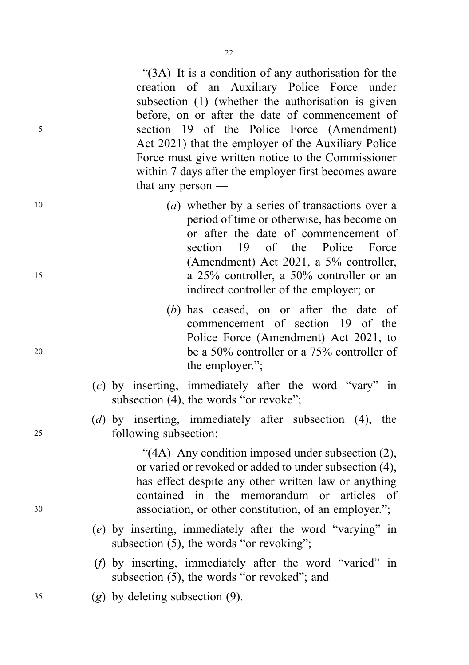"(3A) It is a condition of any authorisation for the creation of an Auxiliary Police Force under subsection (1) (whether the authorisation is given before, on or after the date of commencement of <sup>5</sup> section 19 of the Police Force (Amendment) Act 2021) that the employer of the Auxiliary Police Force must give written notice to the Commissioner within 7 days after the employer first becomes aware that any person —

- 10 (a) whether by a series of transactions over a period of time or otherwise, has become on or after the date of commencement of section 19 of the Police Force (Amendment) Act 2021, a 5% controller, <sup>15</sup> a 25% controller, a 50% controller or an indirect controller of the employer; or
- (b) has ceased, on or after the date of commencement of section 19 of the Police Force (Amendment) Act 2021, to <sup>20</sup> be a 50% controller or a 75% controller of the employer.";
	- (c) by inserting, immediately after the word "vary" in subsection (4), the words "or revoke";
- (d) by inserting, immediately after subsection (4), the <sup>25</sup> following subsection:

"(4A) Any condition imposed under subsection (2), or varied or revoked or added to under subsection (4), has effect despite any other written law or anything contained in the memorandum or articles of <sup>30</sup> association, or other constitution, of an employer.";

- (e) by inserting, immediately after the word "varying" in subsection (5), the words "or revoking";
- (f) by inserting, immediately after the word "varied" in subsection (5), the words "or revoked"; and
- <sup>35</sup> (g) by deleting subsection (9).

22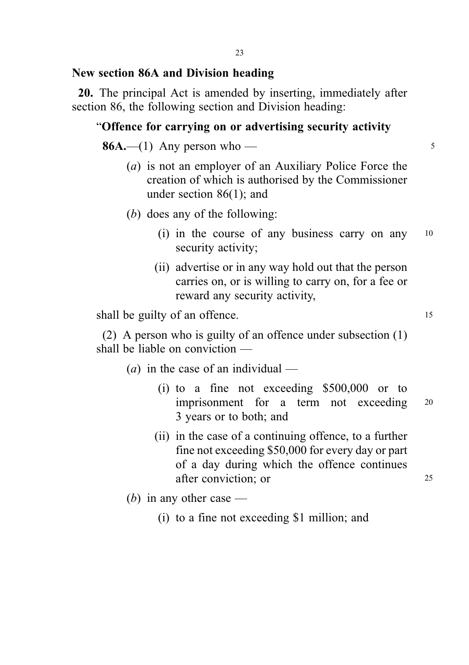### New section 86A and Division heading

20. The principal Act is amended by inserting, immediately after section 86, the following section and Division heading:

### "Offence for carrying on or advertising security activity

 $86A$ .—(1) Any person who — 5

- (a) is not an employer of an Auxiliary Police Force the creation of which is authorised by the Commissioner under section 86(1); and
- (b) does any of the following:
	- (i) in the course of any business carry on any <sup>10</sup> security activity;
	- (ii) advertise or in any way hold out that the person carries on, or is willing to carry on, for a fee or reward any security activity,

shall be guilty of an offence. 15

(2) A person who is guilty of an offence under subsection (1) shall be liable on conviction —

- (*a*) in the case of an individual
	- (i) to a fine not exceeding \$500,000 or to imprisonment for a term not exceeding <sup>20</sup> 3 years or to both; and
	- (ii) in the case of a continuing offence, to a further fine not exceeding \$50,000 for every day or part of a day during which the offence continues after conviction; or 25

(b) in any other case —

(i) to a fine not exceeding \$1 million; and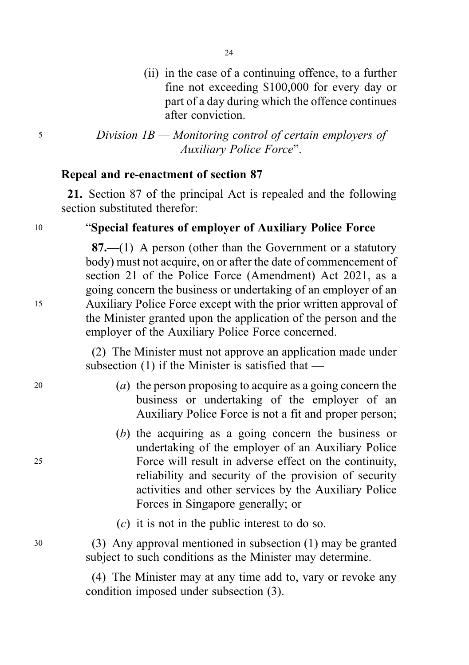(ii) in the case of a continuing offence, to a further fine not exceeding \$100,000 for every day or part of a day during which the offence continues after conviction.

<sup>5</sup> Division 1B — Monitoring control of certain employers of Auxiliary Police Force".

### Repeal and re-enactment of section 87

21. Section 87 of the principal Act is repealed and the following section substituted therefor:

# <sup>10</sup> "Special features of employer of Auxiliary Police Force

87.—(1) A person (other than the Government or a statutory body) must not acquire, on or after the date of commencement of section 21 of the Police Force (Amendment) Act 2021, as a going concern the business or undertaking of an employer of an <sup>15</sup> Auxiliary Police Force except with the prior written approval of the Minister granted upon the application of the person and the employer of the Auxiliary Police Force concerned.

> (2) The Minister must not approve an application made under subsection (1) if the Minister is satisfied that —

- <sup>20</sup> (a) the person proposing to acquire as a going concern the business or undertaking of the employer of an Auxiliary Police Force is not a fit and proper person;
- (b) the acquiring as a going concern the business or undertaking of the employer of an Auxiliary Police <sup>25</sup> Force will result in adverse effect on the continuity, reliability and security of the provision of security activities and other services by the Auxiliary Police Forces in Singapore generally; or
	- (c) it is not in the public interest to do so.

<sup>30</sup> (3) Any approval mentioned in subsection (1) may be granted subject to such conditions as the Minister may determine.

> (4) The Minister may at any time add to, vary or revoke any condition imposed under subsection (3).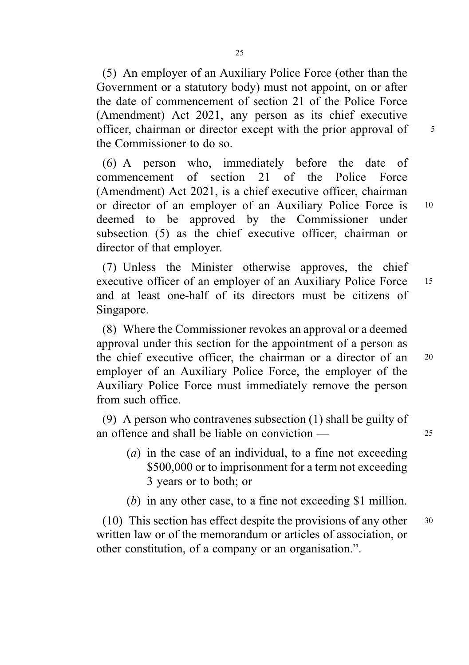(5) An employer of an Auxiliary Police Force (other than the Government or a statutory body) must not appoint, on or after the date of commencement of section 21 of the Police Force (Amendment) Act 2021, any person as its chief executive officer, chairman or director except with the prior approval of 5 the Commissioner to do so.

(6) A person who, immediately before the date of commencement of section 21 of the Police Force (Amendment) Act 2021, is a chief executive officer, chairman or director of an employer of an Auxiliary Police Force is <sup>10</sup> deemed to be approved by the Commissioner under subsection (5) as the chief executive officer, chairman or director of that employer.

(7) Unless the Minister otherwise approves, the chief executive officer of an employer of an Auxiliary Police Force <sup>15</sup> and at least one-half of its directors must be citizens of Singapore.

(8) Where the Commissioner revokes an approval or a deemed approval under this section for the appointment of a person as the chief executive officer, the chairman or a director of an <sup>20</sup> employer of an Auxiliary Police Force, the employer of the Auxiliary Police Force must immediately remove the person from such office.

(9) A person who contravenes subsection (1) shall be guilty of an offence and shall be liable on conviction — 25

- $(a)$  in the case of an individual, to a fine not exceeding \$500,000 or to imprisonment for a term not exceeding 3 years or to both; or
- (b) in any other case, to a fine not exceeding \$1 million.

(10) This section has effect despite the provisions of any other  $30$ written law or of the memorandum or articles of association, or other constitution, of a company or an organisation.".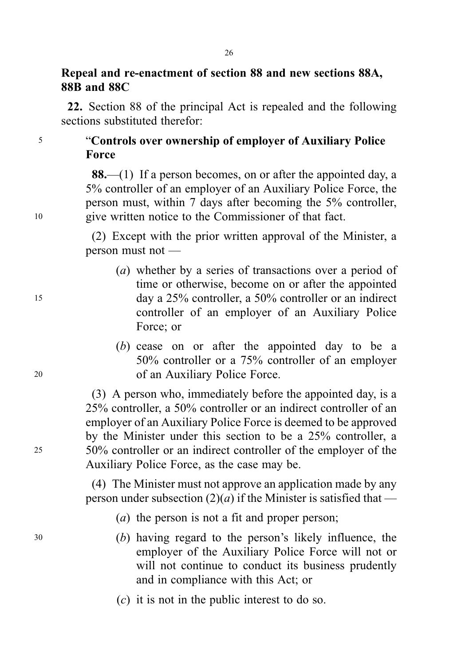# Repeal and re-enactment of section 88 and new sections 88A, 88B and 88C

22. Section 88 of the principal Act is repealed and the following sections substituted therefor:

<sup>5</sup> "Controls over ownership of employer of Auxiliary Police Force

88.—(1) If a person becomes, on or after the appointed day, a 5% controller of an employer of an Auxiliary Police Force, the person must, within 7 days after becoming the 5% controller, <sup>10</sup> give written notice to the Commissioner of that fact.

> (2) Except with the prior written approval of the Minister, a person must not —

- (a) whether by a series of transactions over a period of time or otherwise, become on or after the appointed <sup>15</sup> day a 25% controller, a 50% controller or an indirect controller of an employer of an Auxiliary Police Force; or
- (b) cease on or after the appointed day to be a 50% controller or a 75% controller of an employer <sup>20</sup> of an Auxiliary Police Force.

(3) A person who, immediately before the appointed day, is a 25% controller, a 50% controller or an indirect controller of an employer of an Auxiliary Police Force is deemed to be approved by the Minister under this section to be a 25% controller, a <sup>25</sup> 50% controller or an indirect controller of the employer of the Auxiliary Police Force, as the case may be.

> (4) The Minister must not approve an application made by any person under subsection  $(2)(a)$  if the Minister is satisfied that —

- (*a*) the person is not a fit and proper person:
- <sup>30</sup> (b) having regard to the person's likely influence, the employer of the Auxiliary Police Force will not or will not continue to conduct its business prudently and in compliance with this Act; or
	- (c) it is not in the public interest to do so.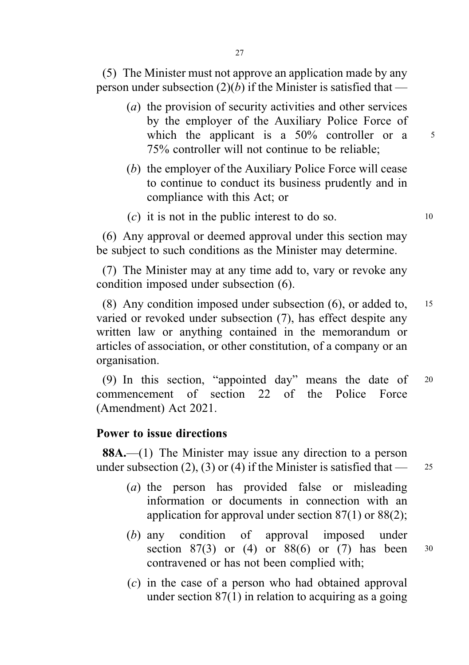(5) The Minister must not approve an application made by any person under subsection  $(2)(b)$  if the Minister is satisfied that —

- (a) the provision of security activities and other services by the employer of the Auxiliary Police Force of which the applicant is a  $50\%$  controller or a  $5\%$ 75% controller will not continue to be reliable;
- (b) the employer of the Auxiliary Police Force will cease to continue to conduct its business prudently and in compliance with this Act; or
- $(c)$  it is not in the public interest to do so.  $10$

(6) Any approval or deemed approval under this section may be subject to such conditions as the Minister may determine.

(7) The Minister may at any time add to, vary or revoke any condition imposed under subsection (6).

(8) Any condition imposed under subsection (6), or added to, <sup>15</sup> varied or revoked under subsection (7), has effect despite any written law or anything contained in the memorandum or articles of association, or other constitution, of a company or an organisation.

(9) In this section, "appointed day" means the date of <sup>20</sup> commencement of section 22 of the Police Force (Amendment) Act 2021.

### Power to issue directions

88A.—(1) The Minister may issue any direction to a person under subsection (2), (3) or (4) if the Minister is satisfied that  $\frac{25}{25}$ 

- 
- (a) the person has provided false or misleading information or documents in connection with an application for approval under section 87(1) or 88(2);
- (b) any condition of approval imposed under section 87(3) or (4) or 88(6) or (7) has been  $30$ contravened or has not been complied with;
- (c) in the case of a person who had obtained approval under section 87(1) in relation to acquiring as a going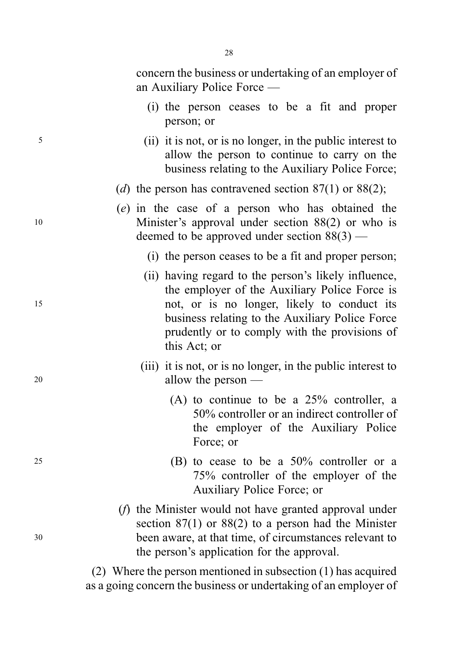concern the business or undertaking of an employer of an Auxiliary Police Force —

- (i) the person ceases to be a fit and proper person; or
- <sup>5</sup> (ii) it is not, or is no longer, in the public interest to allow the person to continue to carry on the business relating to the Auxiliary Police Force;
	- (d) the person has contravened section  $87(1)$  or  $88(2)$ ;
- (e) in the case of a person who has obtained the <sup>10</sup> Minister's approval under section 88(2) or who is deemed to be approved under section 88(3) —
	- (i) the person ceases to be a fit and proper person;
- (ii) having regard to the person's likely influence, the employer of the Auxiliary Police Force is <sup>15</sup> not, or is no longer, likely to conduct its business relating to the Auxiliary Police Force prudently or to comply with the provisions of this Act; or
- (iii) it is not, or is no longer, in the public interest to <sup>20</sup> allow the person —
	- (A) to continue to be a 25% controller, a 50% controller or an indirect controller of the employer of the Auxiliary Police Force; or
- $25$  (B) to cease to be a  $50\%$  controller or a 75% controller of the employer of the Auxiliary Police Force; or
- (f) the Minister would not have granted approval under section 87(1) or 88(2) to a person had the Minister <sup>30</sup> been aware, at that time, of circumstances relevant to the person's application for the approval.

(2) Where the person mentioned in subsection (1) has acquired as a going concern the business or undertaking of an employer of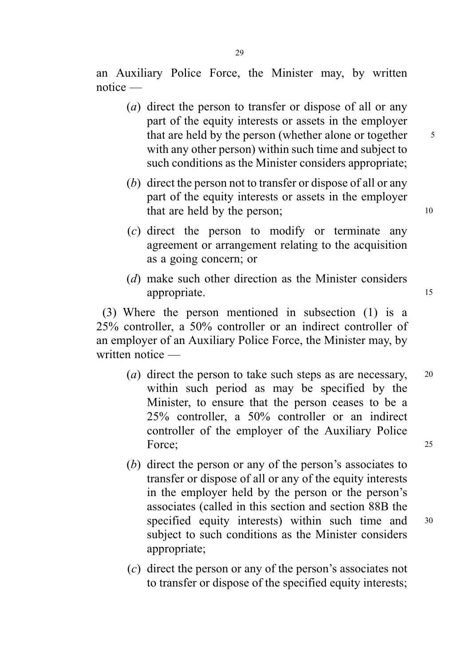an Auxiliary Police Force, the Minister may, by written notice —

- (a) direct the person to transfer or dispose of all or any part of the equity interests or assets in the employer that are held by the person (whether alone or together 5 with any other person) within such time and subject to such conditions as the Minister considers appropriate;
- (b) direct the person not to transfer or dispose of all or any part of the equity interests or assets in the employer that are held by the person; 10
- (c) direct the person to modify or terminate any agreement or arrangement relating to the acquisition as a going concern; or
- (d) make such other direction as the Minister considers appropriate. 15

(3) Where the person mentioned in subsection (1) is a 25% controller, a 50% controller or an indirect controller of an employer of an Auxiliary Police Force, the Minister may, by written notice —

- (*a*) direct the person to take such steps as are necessary,  $20$ within such period as may be specified by the Minister, to ensure that the person ceases to be a 25% controller, a 50% controller or an indirect controller of the employer of the Auxiliary Police Force; 25
- (b) direct the person or any of the person's associates to transfer or dispose of all or any of the equity interests in the employer held by the person or the person's associates (called in this section and section 88B the specified equity interests) within such time and 30 subject to such conditions as the Minister considers appropriate;
- (c) direct the person or any of the person's associates not to transfer or dispose of the specified equity interests;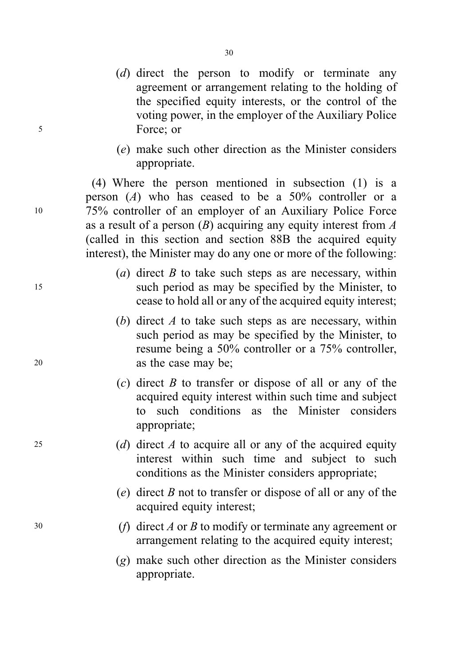- (d) direct the person to modify or terminate any agreement or arrangement relating to the holding of the specified equity interests, or the control of the voting power, in the employer of the Auxiliary Police <sup>5</sup> Force; or
	- (e) make such other direction as the Minister considers appropriate.

(4) Where the person mentioned in subsection (1) is a person  $(A)$  who has ceased to be a 50% controller or a <sup>10</sup> 75% controller of an employer of an Auxiliary Police Force as a result of a person  $(B)$  acquiring any equity interest from A (called in this section and section 88B the acquired equity interest), the Minister may do any one or more of the following:

- (a) direct  $B$  to take such steps as are necessary, within <sup>15</sup> such period as may be specified by the Minister, to cease to hold all or any of the acquired equity interest;
- (b) direct  $A$  to take such steps as are necessary, within such period as may be specified by the Minister, to resume being a 50% controller or a 75% controller, <sup>20</sup> as the case may be;
	- $(c)$  direct B to transfer or dispose of all or any of the acquired equity interest within such time and subject to such conditions as the Minister considers appropriate;
- 25 (d) direct A to acquire all or any of the acquired equity interest within such time and subject to such conditions as the Minister considers appropriate;
	- (e) direct  $B$  not to transfer or dispose of all or any of the acquired equity interest;
- 30 (*f*) direct *A* or *B* to modify or terminate any agreement or arrangement relating to the acquired equity interest;
	- (g) make such other direction as the Minister considers appropriate.

30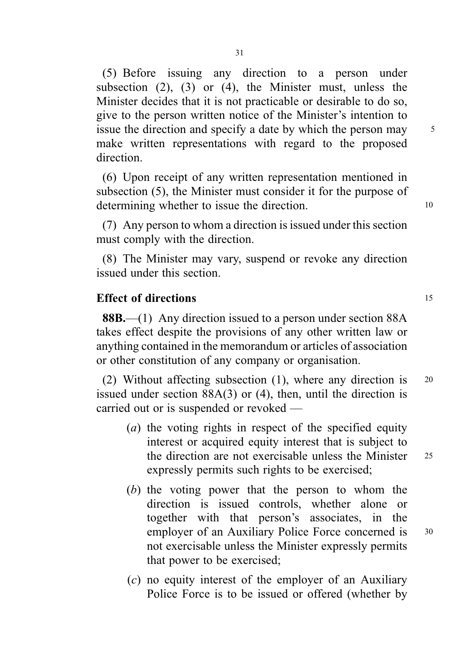(5) Before issuing any direction to a person under subsection  $(2)$ ,  $(3)$  or  $(4)$ , the Minister must, unless the Minister decides that it is not practicable or desirable to do so, give to the person written notice of the Minister's intention to issue the direction and specify a date by which the person may 5 make written representations with regard to the proposed direction.

(6) Upon receipt of any written representation mentioned in subsection (5), the Minister must consider it for the purpose of determining whether to issue the direction.

(7) Any person to whom a direction is issued under this section must comply with the direction.

(8) The Minister may vary, suspend or revoke any direction issued under this section.

### Effect of directions 15

88B.—(1) Any direction issued to a person under section 88A takes effect despite the provisions of any other written law or anything contained in the memorandum or articles of association or other constitution of any company or organisation.

(2) Without affecting subsection (1), where any direction is <sup>20</sup> issued under section 88A(3) or (4), then, until the direction is carried out or is suspended or revoked —

- (a) the voting rights in respect of the specified equity interest or acquired equity interest that is subject to the direction are not exercisable unless the Minister 25 expressly permits such rights to be exercised;
- (b) the voting power that the person to whom the direction is issued controls, whether alone or together with that person's associates, in the employer of an Auxiliary Police Force concerned is 30 not exercisable unless the Minister expressly permits that power to be exercised;
- $(c)$  no equity interest of the employer of an Auxiliary Police Force is to be issued or offered (whether by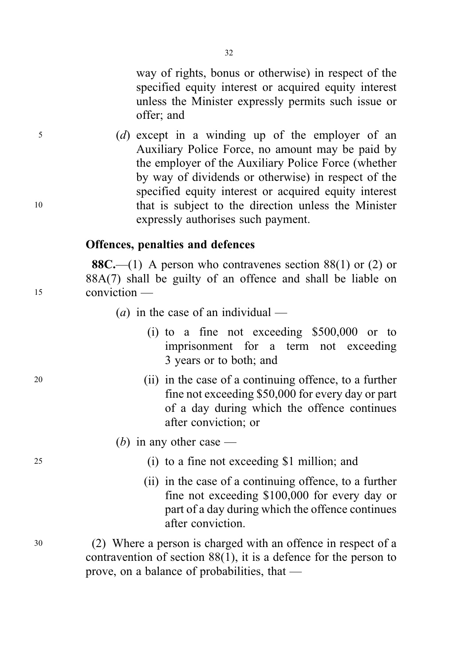way of rights, bonus or otherwise) in respect of the specified equity interest or acquired equity interest unless the Minister expressly permits such issue or offer; and

<sup>5</sup> (d) except in a winding up of the employer of an Auxiliary Police Force, no amount may be paid by the employer of the Auxiliary Police Force (whether by way of dividends or otherwise) in respect of the specified equity interest or acquired equity interest <sup>10</sup> that is subject to the direction unless the Minister expressly authorises such payment.

### Offences, penalties and defences

**88C.**—(1) A person who contravenes section 88(1) or (2) or 88A(7) shall be guilty of an offence and shall be liable on <sup>15</sup> conviction —

- (*a*) in the case of an individual
	- (i) to a fine not exceeding \$500,000 or to imprisonment for a term not exceeding 3 years or to both; and
- <sup>20</sup> (ii) in the case of a continuing offence, to a further fine not exceeding \$50,000 for every day or part of a day during which the offence continues after conviction; or

### (b) in any other case  $-$

- <sup>25</sup> (i) to a fine not exceeding \$1 million; and
	- (ii) in the case of a continuing offence, to a further fine not exceeding \$100,000 for every day or part of a day during which the offence continues after conviction.

<sup>30</sup> (2) Where a person is charged with an offence in respect of a contravention of section 88(1), it is a defence for the person to prove, on a balance of probabilities, that —

32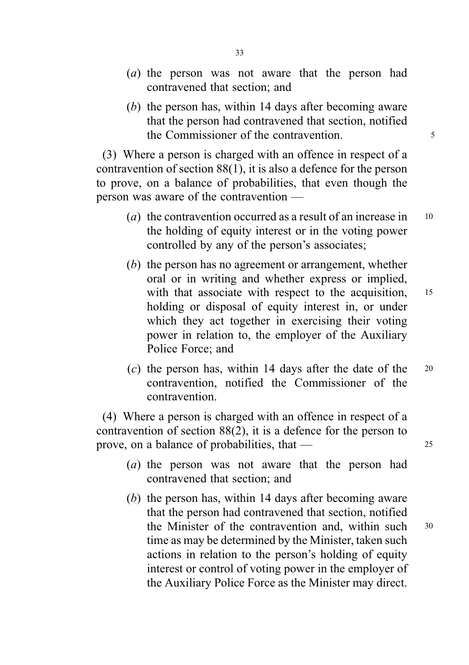- (a) the person was not aware that the person had contravened that section; and
- (b) the person has, within 14 days after becoming aware that the person had contravened that section, notified the Commissioner of the contravention.

(3) Where a person is charged with an offence in respect of a contravention of section 88(1), it is also a defence for the person to prove, on a balance of probabilities, that even though the person was aware of the contravention —

- (a) the contravention occurred as a result of an increase in  $10$ the holding of equity interest or in the voting power controlled by any of the person's associates;
- (b) the person has no agreement or arrangement, whether oral or in writing and whether express or implied, with that associate with respect to the acquisition, 15 holding or disposal of equity interest in, or under which they act together in exercising their voting power in relation to, the employer of the Auxiliary Police Force; and
- (c) the person has, within 14 days after the date of the  $20$ contravention, notified the Commissioner of the contravention.

(4) Where a person is charged with an offence in respect of a contravention of section 88(2), it is a defence for the person to prove, on a balance of probabilities, that — 25

- (a) the person was not aware that the person had contravened that section; and
- (b) the person has, within 14 days after becoming aware that the person had contravened that section, notified the Minister of the contravention and, within such <sup>30</sup> time as may be determined by the Minister, taken such actions in relation to the person's holding of equity interest or control of voting power in the employer of the Auxiliary Police Force as the Minister may direct.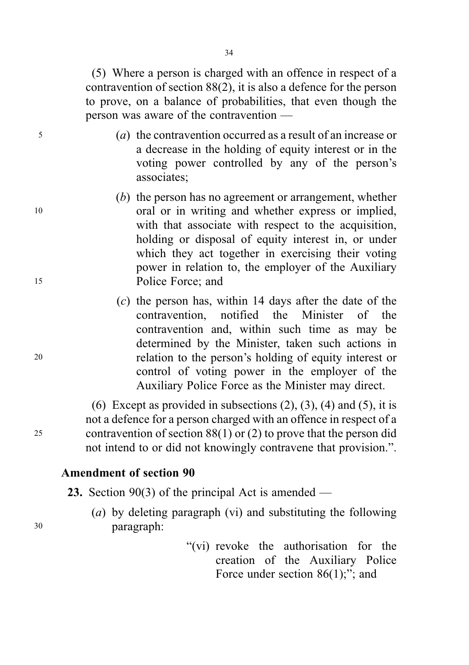(5) Where a person is charged with an offence in respect of a contravention of section 88(2), it is also a defence for the person to prove, on a balance of probabilities, that even though the person was aware of the contravention —

- <sup>5</sup> (a) the contravention occurred as a result of an increase or a decrease in the holding of equity interest or in the voting power controlled by any of the person's associates;
- (b) the person has no agreement or arrangement, whether <sup>10</sup> oral or in writing and whether express or implied, with that associate with respect to the acquisition, holding or disposal of equity interest in, or under which they act together in exercising their voting power in relation to, the employer of the Auxiliary <sup>15</sup> Police Force; and
- $(c)$  the person has, within 14 days after the date of the contravention, notified the Minister of the contravention and, within such time as may be determined by the Minister, taken such actions in <sup>20</sup> relation to the person's holding of equity interest or control of voting power in the employer of the Auxiliary Police Force as the Minister may direct.

(6) Except as provided in subsections  $(2)$ ,  $(3)$ ,  $(4)$  and  $(5)$ , it is not a defence for a person charged with an offence in respect of a <sup>25</sup> contravention of section 88(1) or (2) to prove that the person did not intend to or did not knowingly contravene that provision.".

### Amendment of section 90

**23.** Section 90(3) of the principal Act is amended —

- (a) by deleting paragraph (vi) and substituting the following <sup>30</sup> paragraph:
	- "(vi) revoke the authorisation for the creation of the Auxiliary Police Force under section 86(1);"; and

34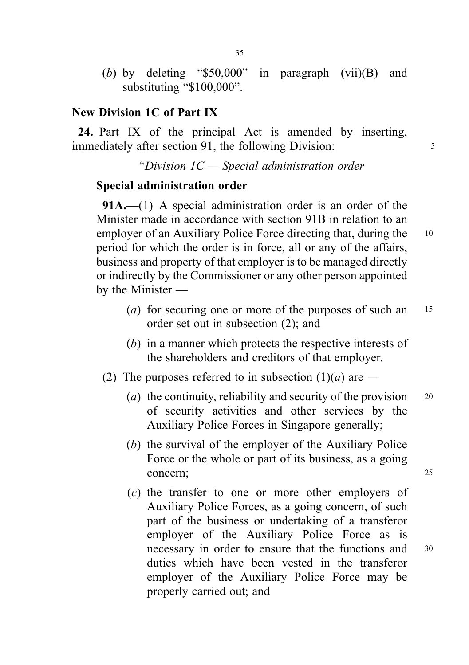(b) by deleting "\$50,000" in paragraph (vii)(B) and substituting "\$100,000".

### New Division 1C of Part IX

24. Part IX of the principal Act is amended by inserting, immediately after section 91, the following Division:

"Division  $IC$  – Special administration order

### Special administration order

91A.—(1) A special administration order is an order of the Minister made in accordance with section 91B in relation to an employer of an Auxiliary Police Force directing that, during the 10 period for which the order is in force, all or any of the affairs, business and property of that employer is to be managed directly or indirectly by the Commissioner or any other person appointed by the Minister —

- (*a*) for securing one or more of the purposes of such an  $15$ order set out in subsection (2); and
- (b) in a manner which protects the respective interests of the shareholders and creditors of that employer.
- (2) The purposes referred to in subsection  $(1)(a)$  are
	- (*a*) the continuity, reliability and security of the provision  $20$ of security activities and other services by the Auxiliary Police Forces in Singapore generally;
	- (b) the survival of the employer of the Auxiliary Police Force or the whole or part of its business, as a going concern; 25
	- (c) the transfer to one or more other employers of Auxiliary Police Forces, as a going concern, of such part of the business or undertaking of a transferor employer of the Auxiliary Police Force as is necessary in order to ensure that the functions and <sup>30</sup> duties which have been vested in the transferor employer of the Auxiliary Police Force may be properly carried out; and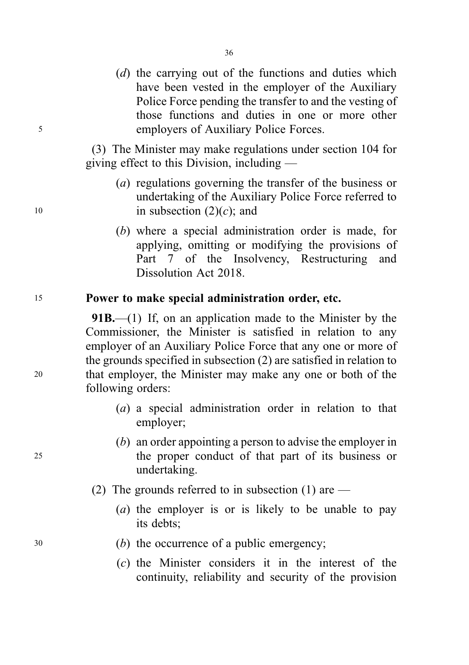(d) the carrying out of the functions and duties which have been vested in the employer of the Auxiliary Police Force pending the transfer to and the vesting of those functions and duties in one or more other <sup>5</sup> employers of Auxiliary Police Forces.

> (3) The Minister may make regulations under section 104 for giving effect to this Division, including —

- (a) regulations governing the transfer of the business or undertaking of the Auxiliary Police Force referred to 10 in subsection  $(2)(c)$ ; and
	- (b) where a special administration order is made, for applying, omitting or modifying the provisions of Part 7 of the Insolvency, Restructuring and Dissolution Act 2018.

### <sup>15</sup> Power to make special administration order, etc.

**91B.**—(1) If, on an application made to the Minister by the Commissioner, the Minister is satisfied in relation to any employer of an Auxiliary Police Force that any one or more of the grounds specified in subsection (2) are satisfied in relation to <sup>20</sup> that employer, the Minister may make any one or both of the following orders:

- (a) a special administration order in relation to that employer;
- (b) an order appointing a person to advise the employer in <sup>25</sup> the proper conduct of that part of its business or undertaking.
	- (2) The grounds referred to in subsection (1) are  $-$ 
		- (a) the employer is or is likely to be unable to pay its debts;
- <sup>30</sup> (b) the occurrence of a public emergency;
	- (c) the Minister considers it in the interest of the continuity, reliability and security of the provision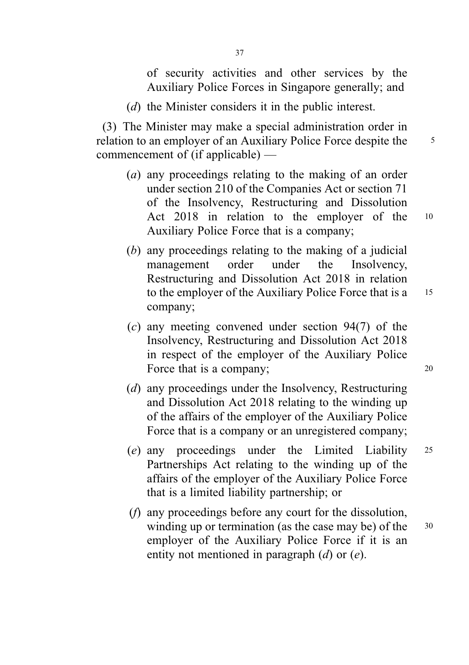of security activities and other services by the Auxiliary Police Forces in Singapore generally; and

(d) the Minister considers it in the public interest.

(3) The Minister may make a special administration order in relation to an employer of an Auxiliary Police Force despite the 5 commencement of (if applicable) —

- (a) any proceedings relating to the making of an order under section 210 of the Companies Act or section 71 of the Insolvency, Restructuring and Dissolution Act 2018 in relation to the employer of the <sup>10</sup> Auxiliary Police Force that is a company;
- (b) any proceedings relating to the making of a judicial management order under the Insolvency, Restructuring and Dissolution Act 2018 in relation to the employer of the Auxiliary Police Force that is a 15 company;
- (c) any meeting convened under section 94(7) of the Insolvency, Restructuring and Dissolution Act 2018 in respect of the employer of the Auxiliary Police Force that is a company; 20
- (d) any proceedings under the Insolvency, Restructuring and Dissolution Act 2018 relating to the winding up of the affairs of the employer of the Auxiliary Police Force that is a company or an unregistered company;
- (e) any proceedings under the Limited Liability <sup>25</sup> Partnerships Act relating to the winding up of the affairs of the employer of the Auxiliary Police Force that is a limited liability partnership; or
- (f) any proceedings before any court for the dissolution, winding up or termination (as the case may be) of the 30 employer of the Auxiliary Police Force if it is an entity not mentioned in paragraph (d) or (e).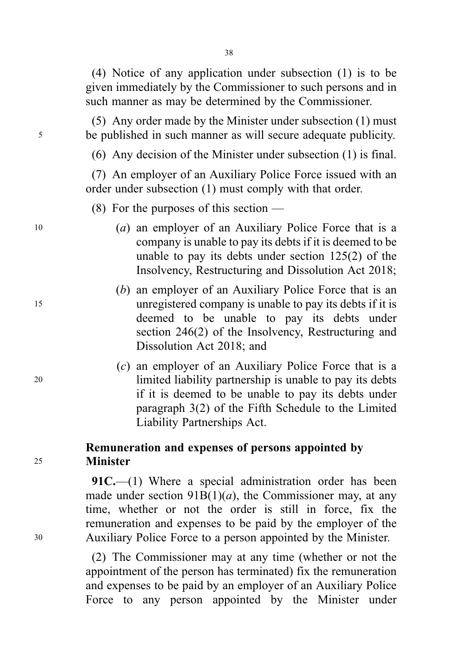38

(4) Notice of any application under subsection (1) is to be given immediately by the Commissioner to such persons and in such manner as may be determined by the Commissioner.

(5) Any order made by the Minister under subsection (1) must <sup>5</sup> be published in such manner as will secure adequate publicity.

(6) Any decision of the Minister under subsection (1) is final.

(7) An employer of an Auxiliary Police Force issued with an order under subsection (1) must comply with that order.

(8) For the purposes of this section  $-$ 

- <sup>10</sup> (a) an employer of an Auxiliary Police Force that is a company is unable to pay its debts if it is deemed to be unable to pay its debts under section 125(2) of the Insolvency, Restructuring and Dissolution Act 2018;
- (b) an employer of an Auxiliary Police Force that is an <sup>15</sup> unregistered company is unable to pay its debts if it is deemed to be unable to pay its debts under section 246(2) of the Insolvency, Restructuring and Dissolution Act 2018; and
- (c) an employer of an Auxiliary Police Force that is a <sup>20</sup> limited liability partnership is unable to pay its debts if it is deemed to be unable to pay its debts under paragraph 3(2) of the Fifth Schedule to the Limited Liability Partnerships Act.

# Remuneration and expenses of persons appointed by <sup>25</sup> Minister

91C.—(1) Where a special administration order has been made under section  $91B(1)(a)$ , the Commissioner may, at any time, whether or not the order is still in force, fix the remuneration and expenses to be paid by the employer of the <sup>30</sup> Auxiliary Police Force to a person appointed by the Minister.

> (2) The Commissioner may at any time (whether or not the appointment of the person has terminated) fix the remuneration and expenses to be paid by an employer of an Auxiliary Police Force to any person appointed by the Minister under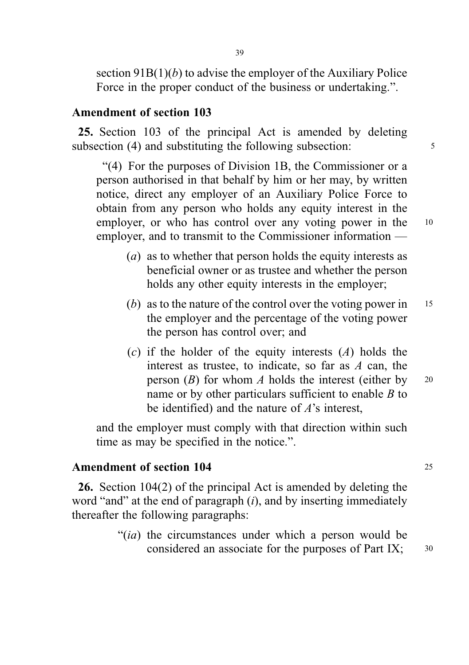section  $91B(1)(b)$  to advise the employer of the Auxiliary Police Force in the proper conduct of the business or undertaking.".

### Amendment of section 103

25. Section 103 of the principal Act is amended by deleting subsection (4) and substituting the following subsection:  $\frac{5}{5}$ 

"(4) For the purposes of Division 1B, the Commissioner or a person authorised in that behalf by him or her may, by written notice, direct any employer of an Auxiliary Police Force to obtain from any person who holds any equity interest in the employer, or who has control over any voting power in the 10 employer, and to transmit to the Commissioner information —

- (a) as to whether that person holds the equity interests as beneficial owner or as trustee and whether the person holds any other equity interests in the employer;
- (b) as to the nature of the control over the voting power in  $15$ the employer and the percentage of the voting power the person has control over; and
- (c) if the holder of the equity interests  $(A)$  holds the interest as trustee, to indicate, so far as  $A$  can, the person  $(B)$  for whom A holds the interest (either by 20 name or by other particulars sufficient to enable B to be identified) and the nature of  $A$ 's interest,

and the employer must comply with that direction within such time as may be specified in the notice.".

### Amendment of section 104 25

26. Section 104(2) of the principal Act is amended by deleting the word "and" at the end of paragraph  $(i)$ , and by inserting immediately thereafter the following paragraphs:

> "(ia) the circumstances under which a person would be considered an associate for the purposes of Part IX;  $30$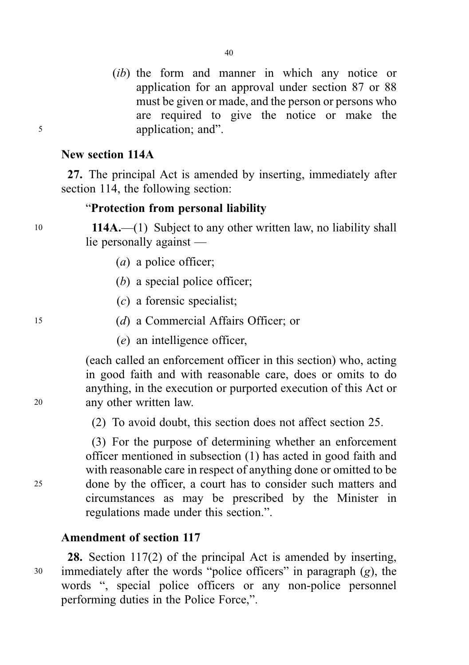(*ib*) the form and manner in which any notice or application for an approval under section 87 or 88 must be given or made, and the person or persons who are required to give the notice or make the <sup>5</sup> application; and".

### New section 114A

27. The principal Act is amended by inserting, immediately after section 114, the following section:

### "Protection from personal liability

<sup>10</sup> 114A.—(1) Subject to any other written law, no liability shall lie personally against —

- (a) a police officer;
- (b) a special police officer;
- (c) a forensic specialist;
- <sup>15</sup> (d) a Commercial Affairs Officer; or
	- (e) an intelligence officer,

(each called an enforcement officer in this section) who, acting in good faith and with reasonable care, does or omits to do anything, in the execution or purported execution of this Act or <sup>20</sup> any other written law.

(2) To avoid doubt, this section does not affect section 25.

(3) For the purpose of determining whether an enforcement officer mentioned in subsection (1) has acted in good faith and with reasonable care in respect of anything done or omitted to be <sup>25</sup> done by the officer, a court has to consider such matters and circumstances as may be prescribed by the Minister in regulations made under this section.".

### Amendment of section 117

28. Section 117(2) of the principal Act is amended by inserting, <sup>30</sup> immediately after the words "police officers" in paragraph (g), the words ", special police officers or any non-police personnel performing duties in the Police Force,".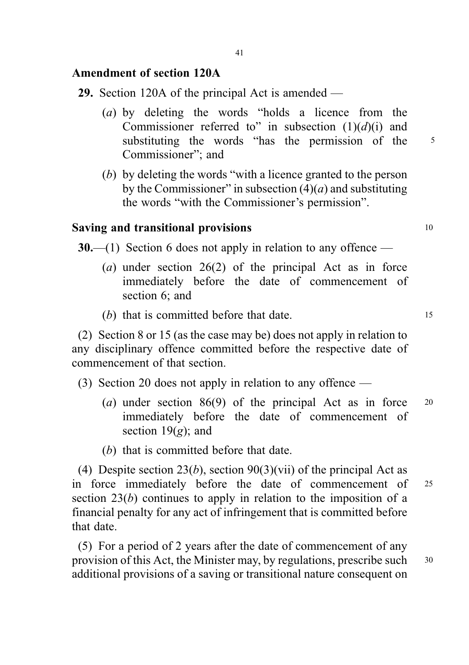# Amendment of section 120A

- 29. Section 120A of the principal Act is amended
	- (a) by deleting the words "holds a licence from the Commissioner referred to" in subsection  $(1)(d)(i)$  and substituting the words "has the permission of the 5 Commissioner"; and
	- (b) by deleting the words "with a licence granted to the person by the Commissioner" in subsection  $(4)(a)$  and substituting the words "with the Commissioner's permission".

### Saving and transitional provisions the state of the 10 models of 10 models and 10 models are not 10 models and 10 models are not 10 models and 10 models are not 10 models and 10 models are not 10 models and 10 models are n

**30.**—(1) Section 6 does not apply in relation to any offence —

- (a) under section 26(2) of the principal Act as in force immediately before the date of commencement of section 6; and
- (b) that is committed before that date. 15

(2) Section 8 or 15 (as the case may be) does not apply in relation to any disciplinary offence committed before the respective date of commencement of that section.

- (3) Section 20 does not apply in relation to any offence
	- (a) under section 86(9) of the principal Act as in force <sup>20</sup> immediately before the date of commencement of section  $19(g)$ ; and
	- (b) that is committed before that date.

(4) Despite section 23(*b*), section 90(3)(vii) of the principal Act as in force immediately before the date of commencement of <sup>25</sup> section 23(b) continues to apply in relation to the imposition of a financial penalty for any act of infringement that is committed before that date.

(5) For a period of 2 years after the date of commencement of any provision of this Act, the Minister may, by regulations, prescribe such  $30$ additional provisions of a saving or transitional nature consequent on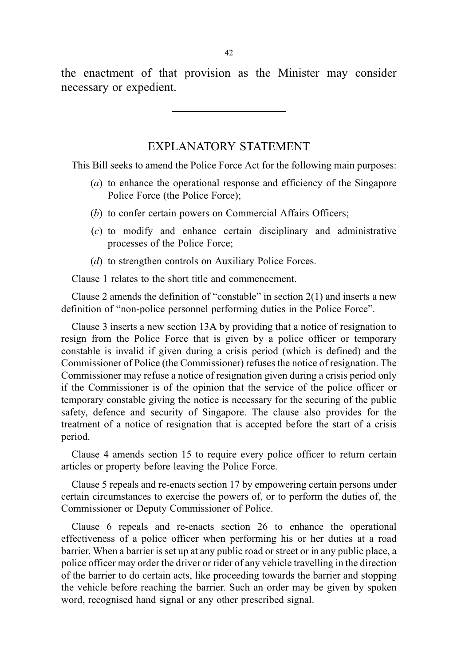the enactment of that provision as the Minister may consider necessary or expedient.

# EXPLANATORY STATEMENT

This Bill seeks to amend the Police Force Act for the following main purposes:

- (a) to enhance the operational response and efficiency of the Singapore Police Force (the Police Force);
- (b) to confer certain powers on Commercial Affairs Officers;
- (c) to modify and enhance certain disciplinary and administrative processes of the Police Force;
- (d) to strengthen controls on Auxiliary Police Forces.

Clause 1 relates to the short title and commencement.

Clause 2 amends the definition of "constable" in section 2(1) and inserts a new definition of "non-police personnel performing duties in the Police Force".

Clause 3 inserts a new section 13A by providing that a notice of resignation to resign from the Police Force that is given by a police officer or temporary constable is invalid if given during a crisis period (which is defined) and the Commissioner of Police (the Commissioner) refuses the notice of resignation. The Commissioner may refuse a notice of resignation given during a crisis period only if the Commissioner is of the opinion that the service of the police officer or temporary constable giving the notice is necessary for the securing of the public safety, defence and security of Singapore. The clause also provides for the treatment of a notice of resignation that is accepted before the start of a crisis period.

Clause 4 amends section 15 to require every police officer to return certain articles or property before leaving the Police Force.

Clause 5 repeals and re-enacts section 17 by empowering certain persons under certain circumstances to exercise the powers of, or to perform the duties of, the Commissioner or Deputy Commissioner of Police.

Clause 6 repeals and re-enacts section 26 to enhance the operational effectiveness of a police officer when performing his or her duties at a road barrier. When a barrier is set up at any public road or street or in any public place, a police officer may order the driver or rider of any vehicle travelling in the direction of the barrier to do certain acts, like proceeding towards the barrier and stopping the vehicle before reaching the barrier. Such an order may be given by spoken word, recognised hand signal or any other prescribed signal.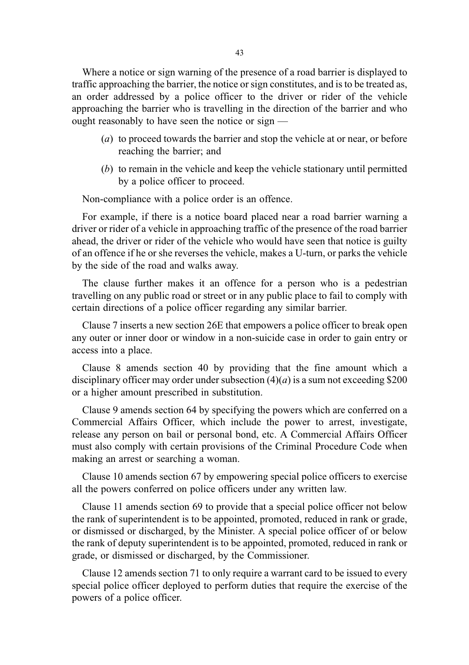Where a notice or sign warning of the presence of a road barrier is displayed to traffic approaching the barrier, the notice or sign constitutes, and is to be treated as, an order addressed by a police officer to the driver or rider of the vehicle approaching the barrier who is travelling in the direction of the barrier and who ought reasonably to have seen the notice or sign —

- (a) to proceed towards the barrier and stop the vehicle at or near, or before reaching the barrier; and
- (b) to remain in the vehicle and keep the vehicle stationary until permitted by a police officer to proceed.

Non-compliance with a police order is an offence.

For example, if there is a notice board placed near a road barrier warning a driver or rider of a vehicle in approaching traffic of the presence of the road barrier ahead, the driver or rider of the vehicle who would have seen that notice is guilty of an offence if he or she reverses the vehicle, makes a U-turn, or parks the vehicle by the side of the road and walks away.

The clause further makes it an offence for a person who is a pedestrian travelling on any public road or street or in any public place to fail to comply with certain directions of a police officer regarding any similar barrier.

Clause 7 inserts a new section 26E that empowers a police officer to break open any outer or inner door or window in a non-suicide case in order to gain entry or access into a place.

Clause 8 amends section 40 by providing that the fine amount which a disciplinary officer may order under subsection  $(4)(a)$  is a sum not exceeding \$200 or a higher amount prescribed in substitution.

Clause 9 amends section 64 by specifying the powers which are conferred on a Commercial Affairs Officer, which include the power to arrest, investigate, release any person on bail or personal bond, etc. A Commercial Affairs Officer must also comply with certain provisions of the Criminal Procedure Code when making an arrest or searching a woman.

Clause 10 amends section 67 by empowering special police officers to exercise all the powers conferred on police officers under any written law.

Clause 11 amends section 69 to provide that a special police officer not below the rank of superintendent is to be appointed, promoted, reduced in rank or grade, or dismissed or discharged, by the Minister. A special police officer of or below the rank of deputy superintendent is to be appointed, promoted, reduced in rank or grade, or dismissed or discharged, by the Commissioner.

Clause 12 amends section 71 to only require a warrant card to be issued to every special police officer deployed to perform duties that require the exercise of the powers of a police officer.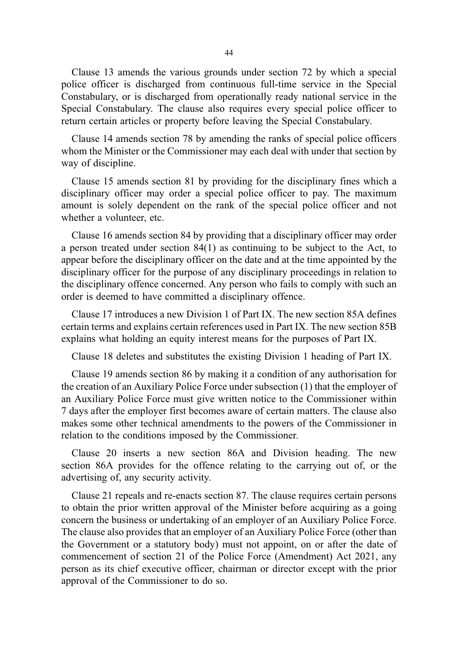Clause 13 amends the various grounds under section 72 by which a special police officer is discharged from continuous full-time service in the Special Constabulary, or is discharged from operationally ready national service in the Special Constabulary. The clause also requires every special police officer to return certain articles or property before leaving the Special Constabulary.

Clause 14 amends section 78 by amending the ranks of special police officers whom the Minister or the Commissioner may each deal with under that section by way of discipline.

Clause 15 amends section 81 by providing for the disciplinary fines which a disciplinary officer may order a special police officer to pay. The maximum amount is solely dependent on the rank of the special police officer and not whether a volunteer, etc.

Clause 16 amends section 84 by providing that a disciplinary officer may order a person treated under section 84(1) as continuing to be subject to the Act, to appear before the disciplinary officer on the date and at the time appointed by the disciplinary officer for the purpose of any disciplinary proceedings in relation to the disciplinary offence concerned. Any person who fails to comply with such an order is deemed to have committed a disciplinary offence.

Clause 17 introduces a new Division 1 of Part IX. The new section 85A defines certain terms and explains certain references used in Part IX. The new section 85B explains what holding an equity interest means for the purposes of Part IX.

Clause 18 deletes and substitutes the existing Division 1 heading of Part IX.

Clause 19 amends section 86 by making it a condition of any authorisation for the creation of an Auxiliary Police Force under subsection (1) that the employer of an Auxiliary Police Force must give written notice to the Commissioner within 7 days after the employer first becomes aware of certain matters. The clause also makes some other technical amendments to the powers of the Commissioner in relation to the conditions imposed by the Commissioner.

Clause 20 inserts a new section 86A and Division heading. The new section 86A provides for the offence relating to the carrying out of, or the advertising of, any security activity.

Clause 21 repeals and re-enacts section 87. The clause requires certain persons to obtain the prior written approval of the Minister before acquiring as a going concern the business or undertaking of an employer of an Auxiliary Police Force. The clause also provides that an employer of an Auxiliary Police Force (other than the Government or a statutory body) must not appoint, on or after the date of commencement of section 21 of the Police Force (Amendment) Act 2021, any person as its chief executive officer, chairman or director except with the prior approval of the Commissioner to do so.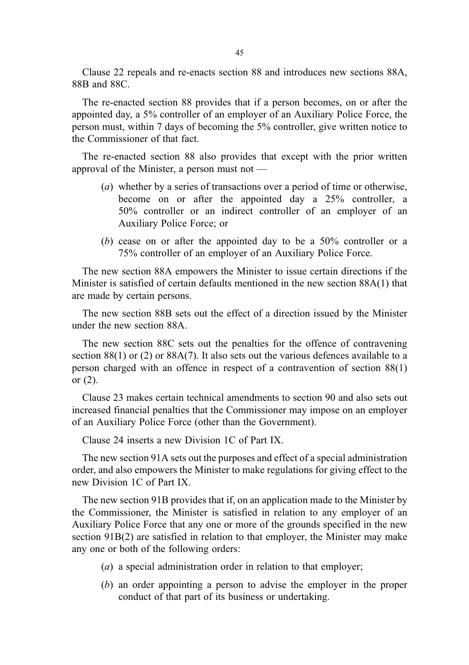Clause 22 repeals and re-enacts section 88 and introduces new sections 88A, 88B and 88C.

The re-enacted section 88 provides that if a person becomes, on or after the appointed day, a 5% controller of an employer of an Auxiliary Police Force, the person must, within 7 days of becoming the 5% controller, give written notice to the Commissioner of that fact.

The re-enacted section 88 also provides that except with the prior written approval of the Minister, a person must not —

- (a) whether by a series of transactions over a period of time or otherwise, become on or after the appointed day a 25% controller, a 50% controller or an indirect controller of an employer of an Auxiliary Police Force; or
- (b) cease on or after the appointed day to be a 50% controller or a 75% controller of an employer of an Auxiliary Police Force.

The new section 88A empowers the Minister to issue certain directions if the Minister is satisfied of certain defaults mentioned in the new section 88A(1) that are made by certain persons.

The new section 88B sets out the effect of a direction issued by the Minister under the new section 88A.

The new section 88C sets out the penalties for the offence of contravening section  $88(1)$  or (2) or  $88A(7)$ . It also sets out the various defences available to a person charged with an offence in respect of a contravention of section 88(1) or (2).

Clause 23 makes certain technical amendments to section 90 and also sets out increased financial penalties that the Commissioner may impose on an employer of an Auxiliary Police Force (other than the Government).

Clause 24 inserts a new Division 1C of Part IX.

The new section 91A sets out the purposes and effect of a special administration order, and also empowers the Minister to make regulations for giving effect to the new Division 1C of Part IX.

The new section 91B provides that if, on an application made to the Minister by the Commissioner, the Minister is satisfied in relation to any employer of an Auxiliary Police Force that any one or more of the grounds specified in the new section 91B(2) are satisfied in relation to that employer, the Minister may make any one or both of the following orders:

- (a) a special administration order in relation to that employer;
- (b) an order appointing a person to advise the employer in the proper conduct of that part of its business or undertaking.